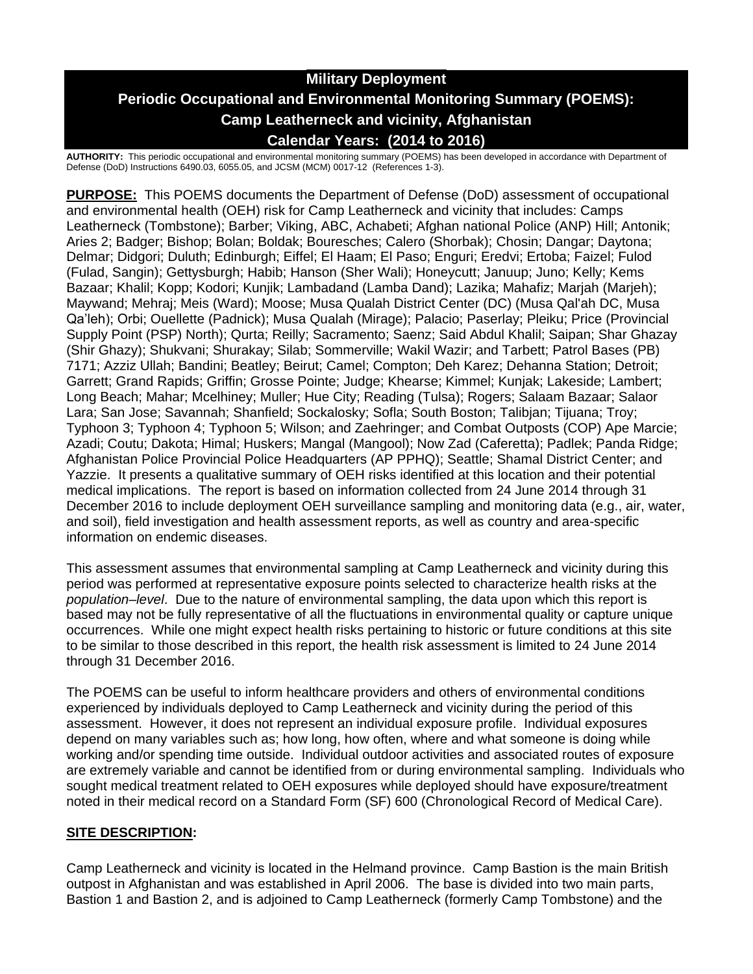# **Military Deployment Periodic Occupational and Environmental Monitoring Summary (POEMS): Camp Leatherneck and vicinity, Afghanistan Calendar Years: (2014 to 2016)**

**AUTHORITY:** This periodic occupational and environmental monitoring summary (POEMS) has been developed in accordance with Department of Defense (DoD) Instructions 6490.03, 6055.05, and JCSM (MCM) 0017-12 (References 1-3).

**PURPOSE:** This POEMS documents the Department of Defense (DoD) assessment of occupational and environmental health (OEH) risk for Camp Leatherneck and vicinity that includes: Camps Leatherneck (Tombstone); Barber; Viking, ABC, Achabeti; Afghan national Police (ANP) Hill; Antonik; Aries 2; Badger; Bishop; Bolan; Boldak; Bouresches; Calero (Shorbak); Chosin; Dangar; Daytona; Delmar; Didgori; Duluth; Edinburgh; Eiffel; El Haam; El Paso; Enguri; Eredvi; Ertoba; Faizel; Fulod (Fulad, Sangin); Gettysburgh; Habib; Hanson (Sher Wali); Honeycutt; Januup; Juno; Kelly; Kems Bazaar; Khalil; Kopp; Kodori; Kunjik; Lambadand (Lamba Dand); Lazika; Mahafiz; Marjah (Marjeh); Maywand; Mehraj; Meis (Ward); Moose; Musa Qualah District Center (DC) (Musa Qal'ah DC, Musa Qa'leh); Orbi; Ouellette (Padnick); Musa Qualah (Mirage); Palacio; Paserlay; Pleiku; Price (Provincial Supply Point (PSP) North); Qurta; Reilly; Sacramento; Saenz; Said Abdul Khalil; Saipan; Shar Ghazay (Shir Ghazy); Shukvani; Shurakay; Silab; Sommerville; Wakil Wazir; and Tarbett; Patrol Bases (PB) 7171; Azziz Ullah; Bandini; Beatley; Beirut; Camel; Compton; Deh Karez; Dehanna Station; Detroit; Garrett; Grand Rapids; Griffin; Grosse Pointe; Judge; Khearse; Kimmel; Kunjak; Lakeside; Lambert; Long Beach; Mahar; Mcelhiney; Muller; Hue City; Reading (Tulsa); Rogers; Salaam Bazaar; Salaor Lara; San Jose; Savannah; Shanfield; Sockalosky; Sofla; South Boston; Talibjan; Tijuana; Troy; Typhoon 3; Typhoon 4; Typhoon 5; Wilson; and Zaehringer; and Combat Outposts (COP) Ape Marcie; Azadi; Coutu; Dakota; Himal; Huskers; Mangal (Mangool); Now Zad (Caferetta); Padlek; Panda Ridge; Afghanistan Police Provincial Police Headquarters (AP PPHQ); Seattle; Shamal District Center; and Yazzie. It presents a qualitative summary of OEH risks identified at this location and their potential medical implications. The report is based on information collected from 24 June 2014 through 31 December 2016 to include deployment OEH surveillance sampling and monitoring data (e.g., air, water, and soil), field investigation and health assessment reports, as well as country and area-specific information on endemic diseases.

This assessment assumes that environmental sampling at Camp Leatherneck and vicinity during this period was performed at representative exposure points selected to characterize health risks at the *population–level*. Due to the nature of environmental sampling, the data upon which this report is based may not be fully representative of all the fluctuations in environmental quality or capture unique occurrences. While one might expect health risks pertaining to historic or future conditions at this site to be similar to those described in this report, the health risk assessment is limited to 24 June 2014 through 31 December 2016.

The POEMS can be useful to inform healthcare providers and others of environmental conditions experienced by individuals deployed to Camp Leatherneck and vicinity during the period of this assessment. However, it does not represent an individual exposure profile. Individual exposures depend on many variables such as; how long, how often, where and what someone is doing while working and/or spending time outside. Individual outdoor activities and associated routes of exposure are extremely variable and cannot be identified from or during environmental sampling. Individuals who sought medical treatment related to OEH exposures while deployed should have exposure/treatment noted in their medical record on a Standard Form (SF) 600 (Chronological Record of Medical Care).

### **SITE DESCRIPTION:**

Camp Leatherneck and vicinity is located in the Helmand province. Camp Bastion is the main British outpost in Afghanistan and was established in April 2006. The base is divided into two main parts, Bastion 1 and Bastion 2, and is adjoined to Camp Leatherneck (formerly Camp Tombstone) and the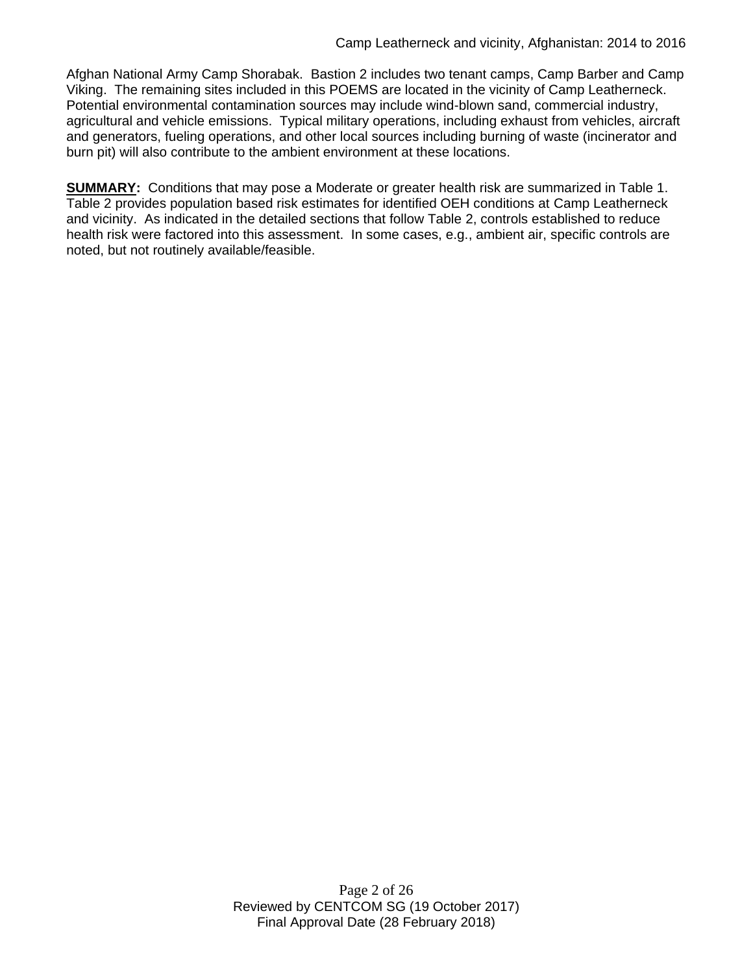Afghan National Army Camp Shorabak. Bastion 2 includes two tenant camps, Camp Barber and Camp Viking. The remaining sites included in this POEMS are located in the vicinity of Camp Leatherneck. Potential environmental contamination sources may include wind-blown sand, commercial industry, agricultural and vehicle emissions. Typical military operations, including exhaust from vehicles, aircraft and generators, fueling operations, and other local sources including burning of waste (incinerator and burn pit) will also contribute to the ambient environment at these locations.

**SUMMARY:** Conditions that may pose a Moderate or greater health risk are summarized in Table 1. Table 2 provides population based risk estimates for identified OEH conditions at Camp Leatherneck and vicinity. As indicated in the detailed sections that follow Table 2, controls established to reduce health risk were factored into this assessment. In some cases, e.g., ambient air, specific controls are noted, but not routinely available/feasible.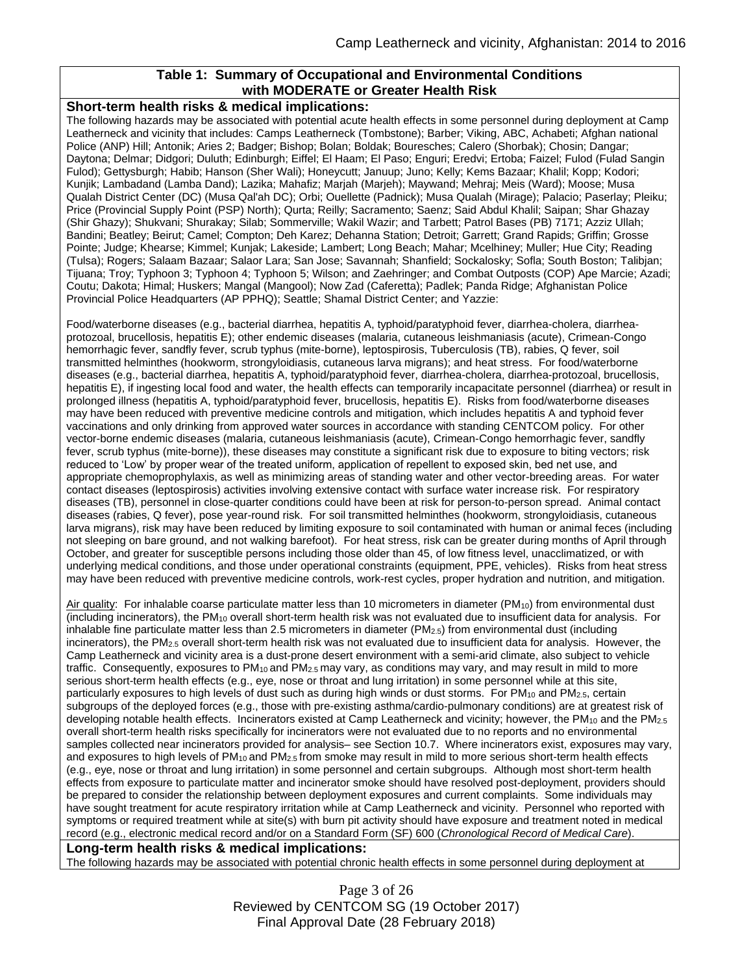### **Table 1: Summary of Occupational and Environmental Conditions with MODERATE or Greater Health Risk**

#### **Short-term health risks & medical implications:**

The following hazards may be associated with potential acute health effects in some personnel during deployment at Camp Leatherneck and vicinity that includes: Camps Leatherneck (Tombstone); Barber; Viking, ABC, Achabeti; Afghan national Police (ANP) Hill; Antonik; Aries 2; Badger; Bishop; Bolan; Boldak; Bouresches; Calero (Shorbak); Chosin; Dangar; Daytona; Delmar; Didgori; Duluth; Edinburgh; Eiffel; El Haam; El Paso; Enguri; Eredvi; Ertoba; Faizel; Fulod (Fulad Sangin Fulod); Gettysburgh; Habib; Hanson (Sher Wali); Honeycutt; Januup; Juno; Kelly; Kems Bazaar; Khalil; Kopp; Kodori; Kunjik; Lambadand (Lamba Dand); Lazika; Mahafiz; Marjah (Marjeh); Maywand; Mehraj; Meis (Ward); Moose; Musa Qualah District Center (DC) (Musa Qal'ah DC); Orbi; Ouellette (Padnick); Musa Qualah (Mirage); Palacio; Paserlay; Pleiku; Price (Provincial Supply Point (PSP) North); Qurta; Reilly; Sacramento; Saenz; Said Abdul Khalil; Saipan; Shar Ghazay (Shir Ghazy); Shukvani; Shurakay; Silab; Sommerville; Wakil Wazir; and Tarbett; Patrol Bases (PB) 7171; Azziz Ullah; Bandini; Beatley; Beirut; Camel; Compton; Deh Karez; Dehanna Station; Detroit; Garrett; Grand Rapids; Griffin; Grosse Pointe; Judge; Khearse; Kimmel; Kunjak; Lakeside; Lambert; Long Beach; Mahar; Mcelhiney; Muller; Hue City; Reading (Tulsa); Rogers; Salaam Bazaar; Salaor Lara; San Jose; Savannah; Shanfield; Sockalosky; Sofla; South Boston; Talibjan; Tijuana; Troy; Typhoon 3; Typhoon 4; Typhoon 5; Wilson; and Zaehringer; and Combat Outposts (COP) Ape Marcie; Azadi; Coutu; Dakota; Himal; Huskers; Mangal (Mangool); Now Zad (Caferetta); Padlek; Panda Ridge; Afghanistan Police Provincial Police Headquarters (AP PPHQ); Seattle; Shamal District Center; and Yazzie:

Food/waterborne diseases (e.g., bacterial diarrhea, hepatitis A, typhoid/paratyphoid fever, diarrhea-cholera, diarrheaprotozoal, brucellosis, hepatitis E); other endemic diseases (malaria, cutaneous leishmaniasis (acute), Crimean-Congo hemorrhagic fever, sandfly fever, scrub typhus (mite-borne), leptospirosis, Tuberculosis (TB), rabies, Q fever, soil transmitted helminthes (hookworm, strongyloidiasis, cutaneous larva migrans); and heat stress. For food/waterborne diseases (e.g., bacterial diarrhea, hepatitis A, typhoid/paratyphoid fever, diarrhea-cholera, diarrhea-protozoal, brucellosis, hepatitis E), if ingesting local food and water, the health effects can temporarily incapacitate personnel (diarrhea) or result in prolonged illness (hepatitis A, typhoid/paratyphoid fever, brucellosis, hepatitis E). Risks from food/waterborne diseases may have been reduced with preventive medicine controls and mitigation, which includes hepatitis A and typhoid fever vaccinations and only drinking from approved water sources in accordance with standing CENTCOM policy. For other vector-borne endemic diseases (malaria, cutaneous leishmaniasis (acute), Crimean-Congo hemorrhagic fever, sandfly fever, scrub typhus (mite-borne)), these diseases may constitute a significant risk due to exposure to biting vectors; risk reduced to 'Low' by proper wear of the treated uniform, application of repellent to exposed skin, bed net use, and appropriate chemoprophylaxis, as well as minimizing areas of standing water and other vector-breeding areas. For water contact diseases (leptospirosis) activities involving extensive contact with surface water increase risk. For respiratory diseases (TB), personnel in close-quarter conditions could have been at risk for person-to-person spread. Animal contact diseases (rabies, Q fever), pose year-round risk. For soil transmitted helminthes (hookworm, strongyloidiasis, cutaneous larva migrans), risk may have been reduced by limiting exposure to soil contaminated with human or animal feces (including not sleeping on bare ground, and not walking barefoot). For heat stress, risk can be greater during months of April through October, and greater for susceptible persons including those older than 45, of low fitness level, unacclimatized, or with underlying medical conditions, and those under operational constraints (equipment, PPE, vehicles). Risks from heat stress may have been reduced with preventive medicine controls, work-rest cycles, proper hydration and nutrition, and mitigation.

Air quality: For inhalable coarse particulate matter less than 10 micrometers in diameter ( $PM_{10}$ ) from environmental dust (including incinerators), the PM<sup>10</sup> overall short-term health risk was not evaluated due to insufficient data for analysis. For inhalable fine particulate matter less than 2.5 micrometers in diameter (PM2.5) from environmental dust (including incinerators), the PM2.5 overall short-term health risk was not evaluated due to insufficient data for analysis. However, the Camp Leatherneck and vicinity area is a dust-prone desert environment with a semi-arid climate, also subject to vehicle traffic. Consequently, exposures to PM<sub>10</sub> and PM<sub>2.5</sub> may vary, as conditions may vary, and may result in mild to more serious short-term health effects (e.g., eye, nose or throat and lung irritation) in some personnel while at this site, particularly exposures to high levels of dust such as during high winds or dust storms. For PM<sup>10</sup> and PM2.5, certain subgroups of the deployed forces (e.g., those with pre-existing asthma/cardio-pulmonary conditions) are at greatest risk of developing notable health effects. Incinerators existed at Camp Leatherneck and vicinity; however, the  $PM_{10}$  and the  $PM_{2.5}$ overall short-term health risks specifically for incinerators were not evaluated due to no reports and no environmental samples collected near incinerators provided for analysis– see Section 10.7. Where incinerators exist, exposures may vary, and exposures to high levels of PM<sub>10</sub> and PM<sub>2.5</sub> from smoke may result in mild to more serious short-term health effects (e.g., eye, nose or throat and lung irritation) in some personnel and certain subgroups. Although most short-term health effects from exposure to particulate matter and incinerator smoke should have resolved post-deployment, providers should be prepared to consider the relationship between deployment exposures and current complaints. Some individuals may have sought treatment for acute respiratory irritation while at Camp Leatherneck and vicinity. Personnel who reported with symptoms or required treatment while at site(s) with burn pit activity should have exposure and treatment noted in medical record (e.g., electronic medical record and/or on a Standard Form (SF) 600 (*Chronological Record of Medical Care*).

#### **Long-term health risks & medical implications:**

The following hazards may be associated with potential chronic health effects in some personnel during deployment at

Page 3 of 26 Reviewed by CENTCOM SG (19 October 2017) Final Approval Date (28 February 2018)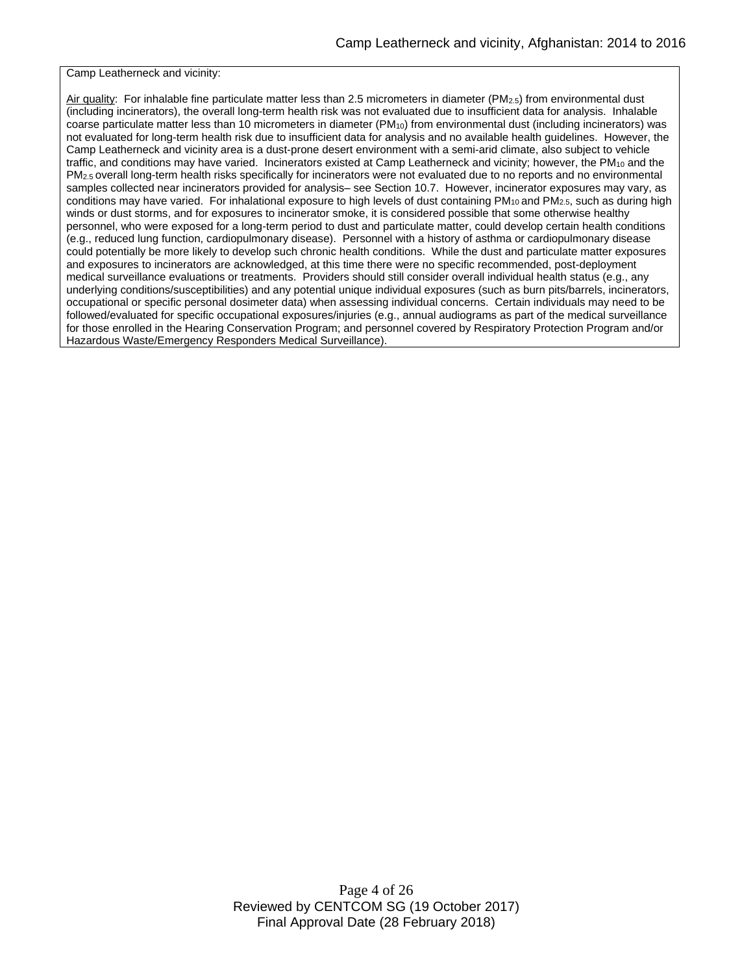Camp Leatherneck and vicinity:

Air quality: For inhalable fine particulate matter less than 2.5 micrometers in diameter (PM2.5) from environmental dust (including incinerators), the overall long-term health risk was not evaluated due to insufficient data for analysis. Inhalable coarse particulate matter less than 10 micrometers in diameter  $(PM_{10})$  from environmental dust (including incinerators) was not evaluated for long-term health risk due to insufficient data for analysis and no available health guidelines. However, the Camp Leatherneck and vicinity area is a dust-prone desert environment with a semi-arid climate, also subject to vehicle traffic, and conditions may have varied. Incinerators existed at Camp Leatherneck and vicinity; however, the PM<sub>10</sub> and the PM<sub>2.5</sub> overall long-term health risks specifically for incinerators were not evaluated due to no reports and no environmental samples collected near incinerators provided for analysis– see Section 10.7. However, incinerator exposures may vary, as conditions may have varied. For inhalational exposure to high levels of dust containing  $PM_{10}$  and  $PM_{2.5}$ , such as during high winds or dust storms, and for exposures to incinerator smoke, it is considered possible that some otherwise healthy personnel, who were exposed for a long-term period to dust and particulate matter, could develop certain health conditions (e.g., reduced lung function, cardiopulmonary disease). Personnel with a history of asthma or cardiopulmonary disease could potentially be more likely to develop such chronic health conditions. While the dust and particulate matter exposures and exposures to incinerators are acknowledged, at this time there were no specific recommended, post-deployment medical surveillance evaluations or treatments. Providers should still consider overall individual health status (e.g., any underlying conditions/susceptibilities) and any potential unique individual exposures (such as burn pits/barrels, incinerators, occupational or specific personal dosimeter data) when assessing individual concerns. Certain individuals may need to be followed/evaluated for specific occupational exposures/injuries (e.g., annual audiograms as part of the medical surveillance for those enrolled in the Hearing Conservation Program; and personnel covered by Respiratory Protection Program and/or Hazardous Waste/Emergency Responders Medical Surveillance).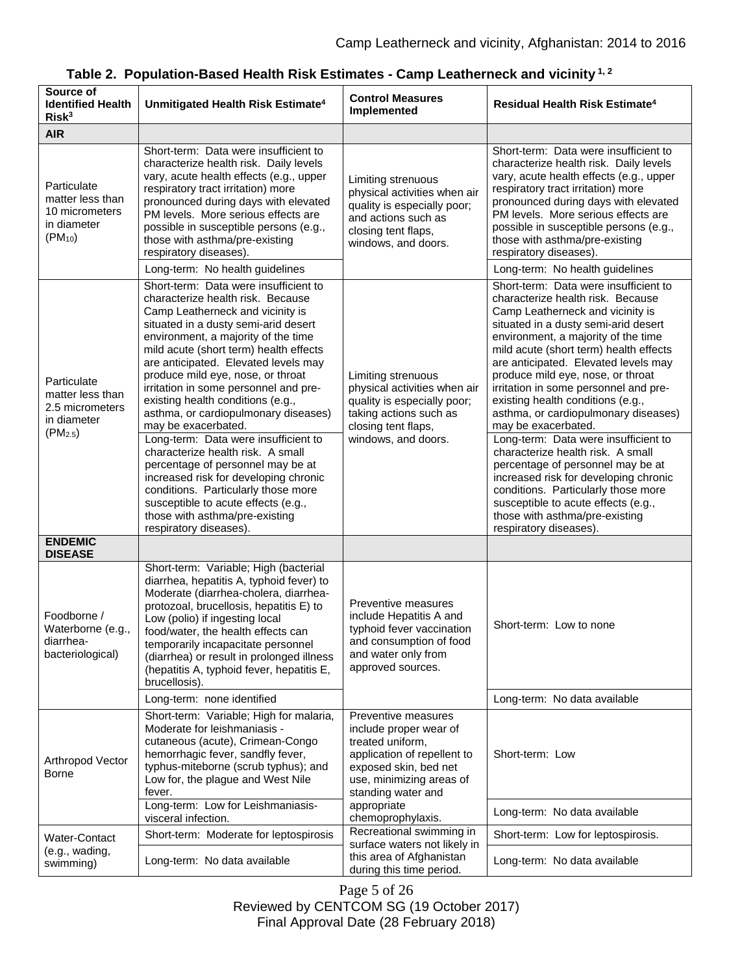$\overline{\phantom{0}}$ 

| Source of<br><b>Identified Health</b><br>Risk <sup>3</sup>                                | Unmitigated Health Risk Estimate <sup>4</sup>                                                                                                                                                                                                                                                                                                                                                                                                                                                                                                                                                                                                                                                                                 | <b>Control Measures</b><br>Implemented                                                                                                                                      | <b>Residual Health Risk Estimate<sup>4</sup></b>                                                                                                                                                                                                                                                                                                                                                                                                                                                                                                                                                                                                                                                                              |
|-------------------------------------------------------------------------------------------|-------------------------------------------------------------------------------------------------------------------------------------------------------------------------------------------------------------------------------------------------------------------------------------------------------------------------------------------------------------------------------------------------------------------------------------------------------------------------------------------------------------------------------------------------------------------------------------------------------------------------------------------------------------------------------------------------------------------------------|-----------------------------------------------------------------------------------------------------------------------------------------------------------------------------|-------------------------------------------------------------------------------------------------------------------------------------------------------------------------------------------------------------------------------------------------------------------------------------------------------------------------------------------------------------------------------------------------------------------------------------------------------------------------------------------------------------------------------------------------------------------------------------------------------------------------------------------------------------------------------------------------------------------------------|
| <b>AIR</b>                                                                                |                                                                                                                                                                                                                                                                                                                                                                                                                                                                                                                                                                                                                                                                                                                               |                                                                                                                                                                             |                                                                                                                                                                                                                                                                                                                                                                                                                                                                                                                                                                                                                                                                                                                               |
| Particulate<br>matter less than<br>10 micrometers<br>in diameter<br>$(PM_{10})$           | Short-term: Data were insufficient to<br>characterize health risk. Daily levels<br>vary, acute health effects (e.g., upper<br>respiratory tract irritation) more<br>pronounced during days with elevated<br>PM levels. More serious effects are<br>possible in susceptible persons (e.g.,<br>those with asthma/pre-existing<br>respiratory diseases).<br>Long-term: No health guidelines                                                                                                                                                                                                                                                                                                                                      | Limiting strenuous<br>physical activities when air<br>quality is especially poor;<br>and actions such as<br>closing tent flaps,<br>windows, and doors.                      | Short-term: Data were insufficient to<br>characterize health risk. Daily levels<br>vary, acute health effects (e.g., upper<br>respiratory tract irritation) more<br>pronounced during days with elevated<br>PM levels. More serious effects are<br>possible in susceptible persons (e.g.,<br>those with asthma/pre-existing<br>respiratory diseases).<br>Long-term: No health guidelines                                                                                                                                                                                                                                                                                                                                      |
|                                                                                           | Short-term: Data were insufficient to                                                                                                                                                                                                                                                                                                                                                                                                                                                                                                                                                                                                                                                                                         |                                                                                                                                                                             | Short-term: Data were insufficient to                                                                                                                                                                                                                                                                                                                                                                                                                                                                                                                                                                                                                                                                                         |
| Particulate<br>matter less than<br>2.5 micrometers<br>in diameter<br>(PM <sub>2.5</sub> ) | characterize health risk. Because<br>Camp Leatherneck and vicinity is<br>situated in a dusty semi-arid desert<br>environment, a majority of the time<br>mild acute (short term) health effects<br>are anticipated. Elevated levels may<br>produce mild eye, nose, or throat<br>irritation in some personnel and pre-<br>existing health conditions (e.g.,<br>asthma, or cardiopulmonary diseases)<br>may be exacerbated.<br>Long-term: Data were insufficient to<br>characterize health risk. A small<br>percentage of personnel may be at<br>increased risk for developing chronic<br>conditions. Particularly those more<br>susceptible to acute effects (e.g.,<br>those with asthma/pre-existing<br>respiratory diseases). | Limiting strenuous<br>physical activities when air<br>quality is especially poor;<br>taking actions such as<br>closing tent flaps,<br>windows, and doors.                   | characterize health risk. Because<br>Camp Leatherneck and vicinity is<br>situated in a dusty semi-arid desert<br>environment, a majority of the time<br>mild acute (short term) health effects<br>are anticipated. Elevated levels may<br>produce mild eye, nose, or throat<br>irritation in some personnel and pre-<br>existing health conditions (e.g.,<br>asthma, or cardiopulmonary diseases)<br>may be exacerbated.<br>Long-term: Data were insufficient to<br>characterize health risk. A small<br>percentage of personnel may be at<br>increased risk for developing chronic<br>conditions. Particularly those more<br>susceptible to acute effects (e.g.,<br>those with asthma/pre-existing<br>respiratory diseases). |
| <b>ENDEMIC</b><br><b>DISEASE</b>                                                          |                                                                                                                                                                                                                                                                                                                                                                                                                                                                                                                                                                                                                                                                                                                               |                                                                                                                                                                             |                                                                                                                                                                                                                                                                                                                                                                                                                                                                                                                                                                                                                                                                                                                               |
| Foodborne /<br>Waterborne (e.g.,<br>diarrhea-<br>bacteriological)                         | Short-term: Variable; High (bacterial<br>diarrhea, hepatitis A, typhoid fever) to<br>Moderate (diarrhea-cholera, diarrhea-<br>protozoal, brucellosis, hepatitis E) to<br>Low (polio) if ingesting local<br>food/water, the health effects can<br>temporarily incapacitate personnel<br>(diarrhea) or result in prolonged illness<br>(hepatitis A, typhoid fever, hepatitis E,<br>brucellosis).                                                                                                                                                                                                                                                                                                                                | Preventive measures<br>include Hepatitis A and<br>typhoid fever vaccination<br>and consumption of food<br>and water only from<br>approved sources.                          | Short-term: Low to none                                                                                                                                                                                                                                                                                                                                                                                                                                                                                                                                                                                                                                                                                                       |
|                                                                                           | Long-term: none identified                                                                                                                                                                                                                                                                                                                                                                                                                                                                                                                                                                                                                                                                                                    |                                                                                                                                                                             | Long-term: No data available                                                                                                                                                                                                                                                                                                                                                                                                                                                                                                                                                                                                                                                                                                  |
| Arthropod Vector<br>Borne                                                                 | Short-term: Variable; High for malaria,<br>Moderate for leishmaniasis -<br>cutaneous (acute), Crimean-Congo<br>hemorrhagic fever, sandfly fever,<br>typhus-miteborne (scrub typhus); and<br>Low for, the plague and West Nile<br>fever.                                                                                                                                                                                                                                                                                                                                                                                                                                                                                       | Preventive measures<br>include proper wear of<br>treated uniform,<br>application of repellent to<br>exposed skin, bed net<br>use, minimizing areas of<br>standing water and | Short-term: Low                                                                                                                                                                                                                                                                                                                                                                                                                                                                                                                                                                                                                                                                                                               |
|                                                                                           | Long-term: Low for Leishmaniasis-<br>visceral infection.                                                                                                                                                                                                                                                                                                                                                                                                                                                                                                                                                                                                                                                                      | appropriate<br>chemoprophylaxis.                                                                                                                                            | Long-term: No data available                                                                                                                                                                                                                                                                                                                                                                                                                                                                                                                                                                                                                                                                                                  |
| Water-Contact                                                                             | Short-term: Moderate for leptospirosis                                                                                                                                                                                                                                                                                                                                                                                                                                                                                                                                                                                                                                                                                        | Recreational swimming in<br>surface waters not likely in                                                                                                                    | Short-term: Low for leptospirosis.                                                                                                                                                                                                                                                                                                                                                                                                                                                                                                                                                                                                                                                                                            |
| (e.g., wading,<br>swimming)                                                               | Long-term: No data available                                                                                                                                                                                                                                                                                                                                                                                                                                                                                                                                                                                                                                                                                                  | this area of Afghanistan<br>during this time period.                                                                                                                        | Long-term: No data available                                                                                                                                                                                                                                                                                                                                                                                                                                                                                                                                                                                                                                                                                                  |

| Table 2. Population-Based Health Risk Estimates - Camp Leatherneck and vicinity $^{1,2}$ |  |  |
|------------------------------------------------------------------------------------------|--|--|
|------------------------------------------------------------------------------------------|--|--|

Page 5 of 26 Reviewed by CENTCOM SG (19 October 2017) Final Approval Date (28 February 2018)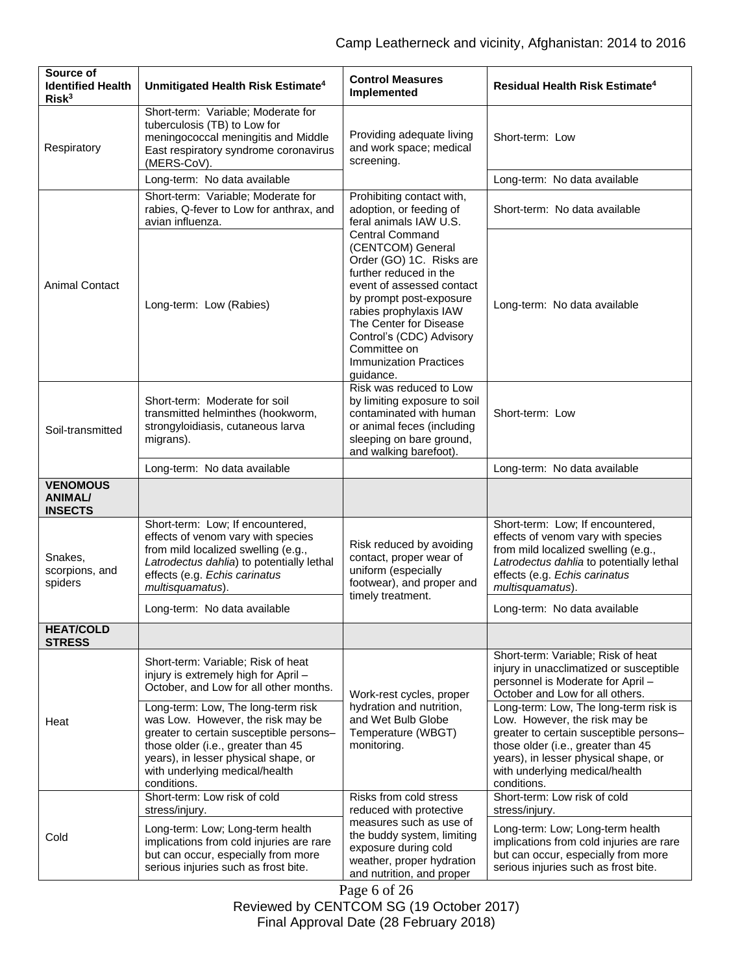| Source of<br><b>Identified Health</b><br>Risk <sup>3</sup> | Unmitigated Health Risk Estimate <sup>4</sup>                                                                                                                                                                                                     | <b>Control Measures</b><br>Implemented                                                                                                                                                                                                                                                                  | Residual Health Risk Estimate <sup>4</sup>                                                                                                                                                                                                       |
|------------------------------------------------------------|---------------------------------------------------------------------------------------------------------------------------------------------------------------------------------------------------------------------------------------------------|---------------------------------------------------------------------------------------------------------------------------------------------------------------------------------------------------------------------------------------------------------------------------------------------------------|--------------------------------------------------------------------------------------------------------------------------------------------------------------------------------------------------------------------------------------------------|
| Respiratory                                                | Short-term: Variable; Moderate for<br>tuberculosis (TB) to Low for<br>meningococcal meningitis and Middle<br>East respiratory syndrome coronavirus<br>(MERS-CoV).                                                                                 | Providing adequate living<br>and work space; medical<br>screening.                                                                                                                                                                                                                                      | Short-term: Low                                                                                                                                                                                                                                  |
|                                                            | Long-term: No data available                                                                                                                                                                                                                      |                                                                                                                                                                                                                                                                                                         | Long-term: No data available                                                                                                                                                                                                                     |
|                                                            | Short-term: Variable; Moderate for<br>rabies, Q-fever to Low for anthrax, and<br>avian influenza.                                                                                                                                                 | Prohibiting contact with,<br>adoption, or feeding of<br>feral animals IAW U.S.                                                                                                                                                                                                                          | Short-term: No data available                                                                                                                                                                                                                    |
| <b>Animal Contact</b>                                      | Long-term: Low (Rabies)                                                                                                                                                                                                                           | <b>Central Command</b><br>(CENTCOM) General<br>Order (GO) 1C. Risks are<br>further reduced in the<br>event of assessed contact<br>by prompt post-exposure<br>rabies prophylaxis IAW<br>The Center for Disease<br>Control's (CDC) Advisory<br>Committee on<br><b>Immunization Practices</b><br>guidance. | Long-term: No data available                                                                                                                                                                                                                     |
| Soil-transmitted                                           | Short-term: Moderate for soil<br>transmitted helminthes (hookworm,<br>strongyloidiasis, cutaneous larva<br>migrans).                                                                                                                              | Risk was reduced to Low<br>by limiting exposure to soil<br>contaminated with human<br>or animal feces (including<br>sleeping on bare ground,<br>and walking barefoot).                                                                                                                                  | Short-term: Low                                                                                                                                                                                                                                  |
|                                                            | Long-term: No data available                                                                                                                                                                                                                      |                                                                                                                                                                                                                                                                                                         | Long-term: No data available                                                                                                                                                                                                                     |
| <b>VENOMOUS</b><br><b>ANIMAL/</b><br><b>INSECTS</b>        |                                                                                                                                                                                                                                                   |                                                                                                                                                                                                                                                                                                         |                                                                                                                                                                                                                                                  |
| Snakes,<br>scorpions, and<br>spiders                       | Short-term: Low; If encountered,<br>effects of venom vary with species<br>from mild localized swelling (e.g.,<br>Latrodectus dahlia) to potentially lethal<br>effects (e.g. Echis carinatus<br>multisquamatus).                                   | Risk reduced by avoiding<br>contact, proper wear of<br>uniform (especially<br>footwear), and proper and<br>timely treatment.                                                                                                                                                                            | Short-term: Low; If encountered,<br>effects of venom vary with species<br>from mild localized swelling (e.g.,<br>Latrodectus dahlia to potentially lethal<br>effects (e.g. Echis carinatus<br>multisquamatus).                                   |
|                                                            | Long-term: No data available                                                                                                                                                                                                                      |                                                                                                                                                                                                                                                                                                         | Long-term: No data available                                                                                                                                                                                                                     |
| <b>HEAT/COLD</b><br><b>STRESS</b>                          |                                                                                                                                                                                                                                                   |                                                                                                                                                                                                                                                                                                         |                                                                                                                                                                                                                                                  |
|                                                            | Short-term: Variable; Risk of heat<br>injury is extremely high for April -<br>October, and Low for all other months.                                                                                                                              | Work-rest cycles, proper                                                                                                                                                                                                                                                                                | Short-term: Variable; Risk of heat<br>injury in unacclimatized or susceptible<br>personnel is Moderate for April -<br>October and Low for all others.                                                                                            |
| Heat                                                       | Long-term: Low, The long-term risk<br>was Low. However, the risk may be<br>greater to certain susceptible persons-<br>those older (i.e., greater than 45<br>years), in lesser physical shape, or<br>with underlying medical/health<br>conditions. | hydration and nutrition,<br>and Wet Bulb Globe<br>Temperature (WBGT)<br>monitoring.                                                                                                                                                                                                                     | Long-term: Low, The long-term risk is<br>Low. However, the risk may be<br>greater to certain susceptible persons-<br>those older (i.e., greater than 45<br>years), in lesser physical shape, or<br>with underlying medical/health<br>conditions. |
|                                                            | Short-term: Low risk of cold<br>stress/injury.                                                                                                                                                                                                    | Risks from cold stress<br>reduced with protective                                                                                                                                                                                                                                                       | Short-term: Low risk of cold<br>stress/injury.                                                                                                                                                                                                   |
| Cold                                                       | Long-term: Low; Long-term health<br>implications from cold injuries are rare<br>but can occur, especially from more<br>serious injuries such as frost bite.                                                                                       | measures such as use of<br>the buddy system, limiting<br>exposure during cold<br>weather, proper hydration<br>and nutrition, and proper                                                                                                                                                                 | Long-term: Low; Long-term health<br>implications from cold injuries are rare<br>but can occur, especially from more<br>serious injuries such as frost bite.                                                                                      |

Page 6 of 26 Reviewed by CENTCOM SG (19 October 2017) Final Approval Date (28 February 2018)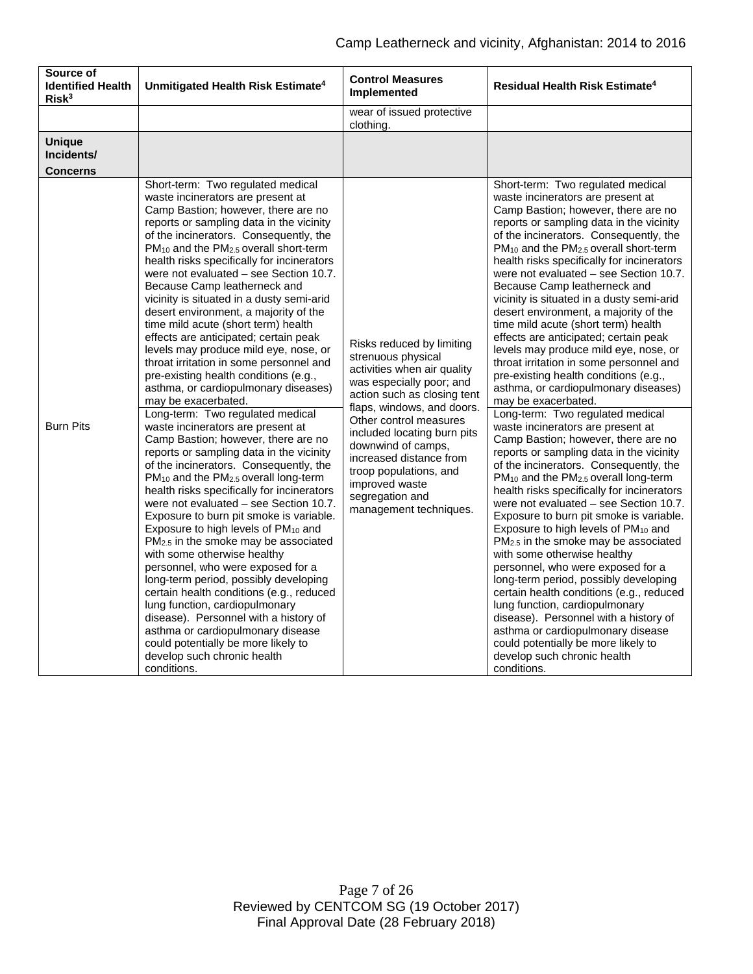| Source of<br><b>Identified Health</b><br>Risk <sup>3</sup> | Unmitigated Health Risk Estimate <sup>4</sup>                                                                                                                                                                                                                                                                                                                                                                                                                                                                                                                                                                                                                                                                                                                                                                                                                                                                                                                                                                                                                                                                                                                                                                                                                                                                                                                                                                                                                                                                                                                                                                      | <b>Control Measures</b><br>Implemented                                                                                                                                                                                                                                                                                                                                     | Residual Health Risk Estimate <sup>4</sup>                                                                                                                                                                                                                                                                                                                                                                                                                                                                                                                                                                                                                                                                                                                                                                                                                                                                                                                                                                                                                                                                                                                                                                                                                                                                                                                                                                                                                                                                                                                                                                                                   |
|------------------------------------------------------------|--------------------------------------------------------------------------------------------------------------------------------------------------------------------------------------------------------------------------------------------------------------------------------------------------------------------------------------------------------------------------------------------------------------------------------------------------------------------------------------------------------------------------------------------------------------------------------------------------------------------------------------------------------------------------------------------------------------------------------------------------------------------------------------------------------------------------------------------------------------------------------------------------------------------------------------------------------------------------------------------------------------------------------------------------------------------------------------------------------------------------------------------------------------------------------------------------------------------------------------------------------------------------------------------------------------------------------------------------------------------------------------------------------------------------------------------------------------------------------------------------------------------------------------------------------------------------------------------------------------------|----------------------------------------------------------------------------------------------------------------------------------------------------------------------------------------------------------------------------------------------------------------------------------------------------------------------------------------------------------------------------|----------------------------------------------------------------------------------------------------------------------------------------------------------------------------------------------------------------------------------------------------------------------------------------------------------------------------------------------------------------------------------------------------------------------------------------------------------------------------------------------------------------------------------------------------------------------------------------------------------------------------------------------------------------------------------------------------------------------------------------------------------------------------------------------------------------------------------------------------------------------------------------------------------------------------------------------------------------------------------------------------------------------------------------------------------------------------------------------------------------------------------------------------------------------------------------------------------------------------------------------------------------------------------------------------------------------------------------------------------------------------------------------------------------------------------------------------------------------------------------------------------------------------------------------------------------------------------------------------------------------------------------------|
|                                                            |                                                                                                                                                                                                                                                                                                                                                                                                                                                                                                                                                                                                                                                                                                                                                                                                                                                                                                                                                                                                                                                                                                                                                                                                                                                                                                                                                                                                                                                                                                                                                                                                                    | wear of issued protective<br>clothing.                                                                                                                                                                                                                                                                                                                                     |                                                                                                                                                                                                                                                                                                                                                                                                                                                                                                                                                                                                                                                                                                                                                                                                                                                                                                                                                                                                                                                                                                                                                                                                                                                                                                                                                                                                                                                                                                                                                                                                                                              |
| <b>Unique</b><br>Incidents/<br><b>Concerns</b>             |                                                                                                                                                                                                                                                                                                                                                                                                                                                                                                                                                                                                                                                                                                                                                                                                                                                                                                                                                                                                                                                                                                                                                                                                                                                                                                                                                                                                                                                                                                                                                                                                                    |                                                                                                                                                                                                                                                                                                                                                                            |                                                                                                                                                                                                                                                                                                                                                                                                                                                                                                                                                                                                                                                                                                                                                                                                                                                                                                                                                                                                                                                                                                                                                                                                                                                                                                                                                                                                                                                                                                                                                                                                                                              |
| <b>Burn Pits</b>                                           | Short-term: Two regulated medical<br>waste incinerators are present at<br>Camp Bastion; however, there are no<br>reports or sampling data in the vicinity<br>of the incinerators. Consequently, the<br>$PM_{10}$ and the $PM_{2.5}$ overall short-term<br>health risks specifically for incinerators<br>were not evaluated - see Section 10.7.<br>Because Camp leatherneck and<br>vicinity is situated in a dusty semi-arid<br>desert environment, a majority of the<br>time mild acute (short term) health<br>effects are anticipated; certain peak<br>levels may produce mild eye, nose, or<br>throat irritation in some personnel and<br>pre-existing health conditions (e.g.,<br>asthma, or cardiopulmonary diseases)<br>may be exacerbated.<br>Long-term: Two regulated medical<br>waste incinerators are present at<br>Camp Bastion; however, there are no<br>reports or sampling data in the vicinity<br>of the incinerators. Consequently, the<br>PM <sub>10</sub> and the PM <sub>2.5</sub> overall long-term<br>health risks specifically for incinerators<br>were not evaluated - see Section 10.7.<br>Exposure to burn pit smoke is variable.<br>Exposure to high levels of PM10 and<br>PM <sub>2.5</sub> in the smoke may be associated<br>with some otherwise healthy<br>personnel, who were exposed for a<br>long-term period, possibly developing<br>certain health conditions (e.g., reduced<br>lung function, cardiopulmonary<br>disease). Personnel with a history of<br>asthma or cardiopulmonary disease<br>could potentially be more likely to<br>develop such chronic health<br>conditions. | Risks reduced by limiting<br>strenuous physical<br>activities when air quality<br>was especially poor; and<br>action such as closing tent<br>flaps, windows, and doors.<br>Other control measures<br>included locating burn pits<br>downwind of camps,<br>increased distance from<br>troop populations, and<br>improved waste<br>segregation and<br>management techniques. | Short-term: Two regulated medical<br>waste incinerators are present at<br>Camp Bastion; however, there are no<br>reports or sampling data in the vicinity<br>of the incinerators. Consequently, the<br>PM <sub>10</sub> and the PM <sub>2.5</sub> overall short-term<br>health risks specifically for incinerators<br>were not evaluated - see Section 10.7.<br>Because Camp leatherneck and<br>vicinity is situated in a dusty semi-arid<br>desert environment, a majority of the<br>time mild acute (short term) health<br>effects are anticipated; certain peak<br>levels may produce mild eye, nose, or<br>throat irritation in some personnel and<br>pre-existing health conditions (e.g.,<br>asthma, or cardiopulmonary diseases)<br>may be exacerbated.<br>Long-term: Two regulated medical<br>waste incinerators are present at<br>Camp Bastion; however, there are no<br>reports or sampling data in the vicinity<br>of the incinerators. Consequently, the<br>PM <sub>10</sub> and the PM <sub>2.5</sub> overall long-term<br>health risks specifically for incinerators<br>were not evaluated – see Section 10.7.<br>Exposure to burn pit smoke is variable.<br>Exposure to high levels of PM <sub>10</sub> and<br>PM <sub>2.5</sub> in the smoke may be associated<br>with some otherwise healthy<br>personnel, who were exposed for a<br>long-term period, possibly developing<br>certain health conditions (e.g., reduced<br>lung function, cardiopulmonary<br>disease). Personnel with a history of<br>asthma or cardiopulmonary disease<br>could potentially be more likely to<br>develop such chronic health<br>conditions. |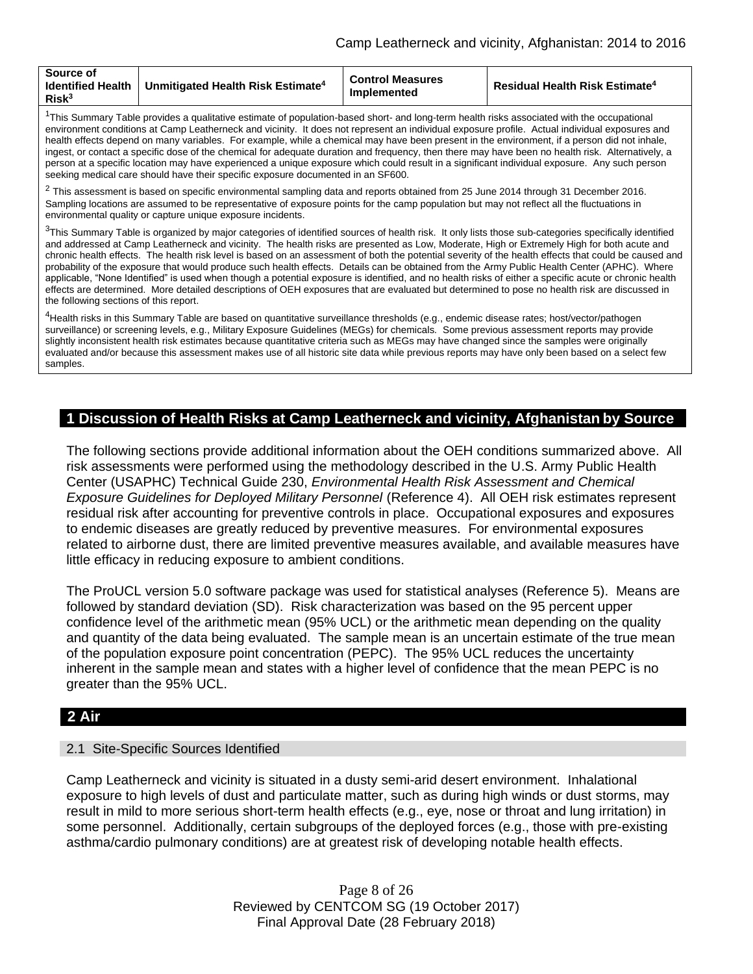| Source of<br><b>Identified Health</b><br>Unmitigated Health Risk Estimate <sup>4</sup><br>Risk <sup>3</sup> | <b>Control Measures</b><br>Implemented | <b>Residual Health Risk Estimate<sup>4</sup></b> |
|-------------------------------------------------------------------------------------------------------------|----------------------------------------|--------------------------------------------------|
|-------------------------------------------------------------------------------------------------------------|----------------------------------------|--------------------------------------------------|

<sup>1</sup>This Summary Table provides a qualitative estimate of population-based short- and long-term health risks associated with the occupational environment conditions at Camp Leatherneck and vicinity. It does not represent an individual exposure profile. Actual individual exposures and health effects depend on many variables. For example, while a chemical may have been present in the environment, if a person did not inhale, ingest, or contact a specific dose of the chemical for adequate duration and frequency, then there may have been no health risk. Alternatively, a person at a specific location may have experienced a unique exposure which could result in a significant individual exposure. Any such person seeking medical care should have their specific exposure documented in an SF600.

 $^2$  This assessment is based on specific environmental sampling data and reports obtained from 25 June 2014 through 31 December 2016. Sampling locations are assumed to be representative of exposure points for the camp population but may not reflect all the fluctuations in environmental quality or capture unique exposure incidents.

 $3$ This Summary Table is organized by major categories of identified sources of health risk. It only lists those sub-categories specifically identified and addressed at Camp Leatherneck and vicinity. The health risks are presented as Low, Moderate, High or Extremely High for both acute and chronic health effects. The health risk level is based on an assessment of both the potential severity of the health effects that could be caused and probability of the exposure that would produce such health effects. Details can be obtained from the Army Public Health Center (APHC). Where applicable, "None Identified" is used when though a potential exposure is identified, and no health risks of either a specific acute or chronic health effects are determined. More detailed descriptions of OEH exposures that are evaluated but determined to pose no health risk are discussed in the following sections of this report.

<sup>4</sup>Health risks in this Summary Table are based on quantitative surveillance thresholds (e.g., endemic disease rates; host/vector/pathogen surveillance) or screening levels, e.g., Military Exposure Guidelines (MEGs) for chemicals*.* Some previous assessment reports may provide slightly inconsistent health risk estimates because quantitative criteria such as MEGs may have changed since the samples were originally evaluated and/or because this assessment makes use of all historic site data while previous reports may have only been based on a select few samples.

# **1 Discussion of Health Risks at Camp Leatherneck and vicinity, Afghanistan by Source**

The following sections provide additional information about the OEH conditions summarized above. All risk assessments were performed using the methodology described in the U.S. Army Public Health Center (USAPHC) Technical Guide 230, *Environmental Health Risk Assessment and Chemical Exposure Guidelines for Deployed Military Personnel* (Reference 4). All OEH risk estimates represent residual risk after accounting for preventive controls in place. Occupational exposures and exposures to endemic diseases are greatly reduced by preventive measures. For environmental exposures related to airborne dust, there are limited preventive measures available, and available measures have little efficacy in reducing exposure to ambient conditions.

The ProUCL version 5.0 software package was used for statistical analyses (Reference 5). Means are followed by standard deviation (SD). Risk characterization was based on the 95 percent upper confidence level of the arithmetic mean (95% UCL) or the arithmetic mean depending on the quality and quantity of the data being evaluated. The sample mean is an uncertain estimate of the true mean of the population exposure point concentration (PEPC). The 95% UCL reduces the uncertainty inherent in the sample mean and states with a higher level of confidence that the mean PEPC is no greater than the 95% UCL.

# **2 Air**

### 2.1 Site-Specific Sources Identified

Camp Leatherneck and vicinity is situated in a dusty semi-arid desert environment. Inhalational exposure to high levels of dust and particulate matter, such as during high winds or dust storms, may result in mild to more serious short-term health effects (e.g., eye, nose or throat and lung irritation) in some personnel. Additionally, certain subgroups of the deployed forces (e.g., those with pre-existing asthma/cardio pulmonary conditions) are at greatest risk of developing notable health effects.

> Page 8 of 26 Reviewed by CENTCOM SG (19 October 2017) Final Approval Date (28 February 2018)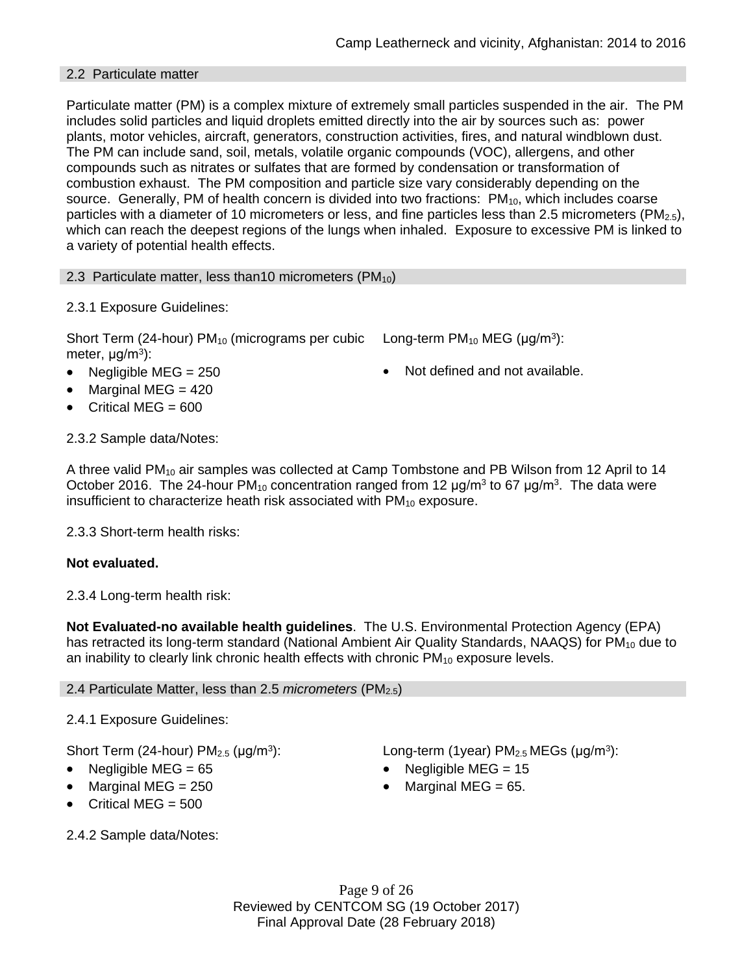### 2.2 Particulate matter

Particulate matter (PM) is a complex mixture of extremely small particles suspended in the air. The PM includes solid particles and liquid droplets emitted directly into the air by sources such as: power plants, motor vehicles, aircraft, generators, construction activities, fires, and natural windblown dust. The PM can include sand, soil, metals, volatile organic compounds (VOC), allergens, and other compounds such as nitrates or sulfates that are formed by condensation or transformation of combustion exhaust. The PM composition and particle size vary considerably depending on the source. Generally, PM of health concern is divided into two fractions:  $PM_{10}$ , which includes coarse particles with a diameter of 10 micrometers or less, and fine particles less than 2.5 micrometers (PM<sub>2.5</sub>), which can reach the deepest regions of the lungs when inhaled. Exposure to excessive PM is linked to a variety of potential health effects.

2.3 Particulate matter, less than10 micrometers  $(PM_{10})$ 

2.3.1 Exposure Guidelines:

Short Term (24-hour) PM<sub>10</sub> (micrograms per cubic Long-term PM<sub>10</sub> MEG ( $\mu$ g/m<sup>3</sup>): meter, μg/m<sup>3</sup>):

- Negligible MEG = 250 **a** Not defined and not available.
- Marginal MEG = 420
- Critical MEG =  $600$

2.3.2 Sample data/Notes:

A three valid PM<sup>10</sup> air samples was collected at Camp Tombstone and PB Wilson from 12 April to 14 October 2016. The 24-hour PM<sub>10</sub> concentration ranged from 12  $\mu$ g/m<sup>3</sup> to 67  $\mu$ g/m<sup>3</sup>. The data were insufficient to characterize heath risk associated with  $PM_{10}$  exposure.

2.3.3 Short-term health risks:

# **Not evaluated.**

2.3.4 Long-term health risk:

**Not Evaluated-no available health guidelines**. The U.S. Environmental Protection Agency (EPA) has retracted its long-term standard (National Ambient Air Quality Standards, NAAQS) for  $PM_{10}$  due to an inability to clearly link chronic health effects with chronic  $PM_{10}$  exposure levels.

### 2.4 Particulate Matter, less than 2.5 *micrometers* (PM2.5)

# 2.4.1 Exposure Guidelines:

Short Term (24-hour)  $PM<sub>2.5</sub>$  ( $\mu$ g/m<sup>3</sup>):

- 
- Marginal MEG =  $250$  extended to Marginal MEG =  $65$ .
- Critical MEG =  $500$

): Long-term (1year)  $PM_{2.5}$  MEGs ( $\mu$ g/m<sup>3</sup>):

- Negligible MEG = 65 Negligible MEG = 15
	-

2.4.2 Sample data/Notes:

Page 9 of 26 Reviewed by CENTCOM SG (19 October 2017) Final Approval Date (28 February 2018)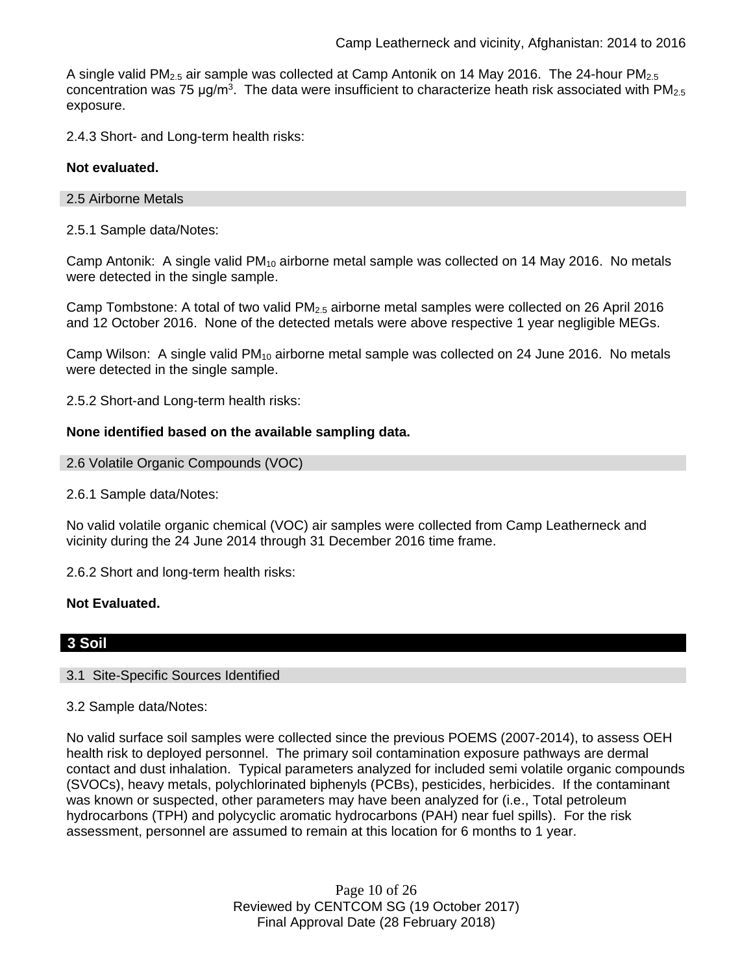A single valid  $PM_{2.5}$  air sample was collected at Camp Antonik on 14 May 2016. The 24-hour  $PM_{2.5}$ concentration was 75  $\mu$ g/m<sup>3</sup>. The data were insufficient to characterize heath risk associated with PM<sub>2.5</sub> exposure.

2.4.3 Short- and Long-term health risks:

### **Not evaluated.**

### 2.5 Airborne Metals

2.5.1 Sample data/Notes:

Camp Antonik: A single valid  $PM_{10}$  airborne metal sample was collected on 14 May 2016. No metals were detected in the single sample.

Camp Tombstone: A total of two valid  $PM<sub>2.5</sub>$  airborne metal samples were collected on 26 April 2016 and 12 October 2016. None of the detected metals were above respective 1 year negligible MEGs.

Camp Wilson: A single valid  $PM_{10}$  airborne metal sample was collected on 24 June 2016. No metals were detected in the single sample.

2.5.2 Short-and Long-term health risks:

### **None identified based on the available sampling data.**

```
2.6 Volatile Organic Compounds (VOC)
```
2.6.1 Sample data/Notes:

No valid volatile organic chemical (VOC) air samples were collected from Camp Leatherneck and vicinity during the 24 June 2014 through 31 December 2016 time frame.

2.6.2 Short and long-term health risks:

### **Not Evaluated.**

# **3 Soil**

### 3.1 Site-Specific Sources Identified

3.2 Sample data/Notes:

No valid surface soil samples were collected since the previous POEMS (2007-2014), to assess OEH health risk to deployed personnel. The primary soil contamination exposure pathways are dermal contact and dust inhalation. Typical parameters analyzed for included semi volatile organic compounds (SVOCs), heavy metals, polychlorinated biphenyls (PCBs), pesticides, herbicides. If the contaminant was known or suspected, other parameters may have been analyzed for (i.e., Total petroleum hydrocarbons (TPH) and polycyclic aromatic hydrocarbons (PAH) near fuel spills). For the risk assessment, personnel are assumed to remain at this location for 6 months to 1 year.

> Page 10 of 26 Reviewed by CENTCOM SG (19 October 2017) Final Approval Date (28 February 2018)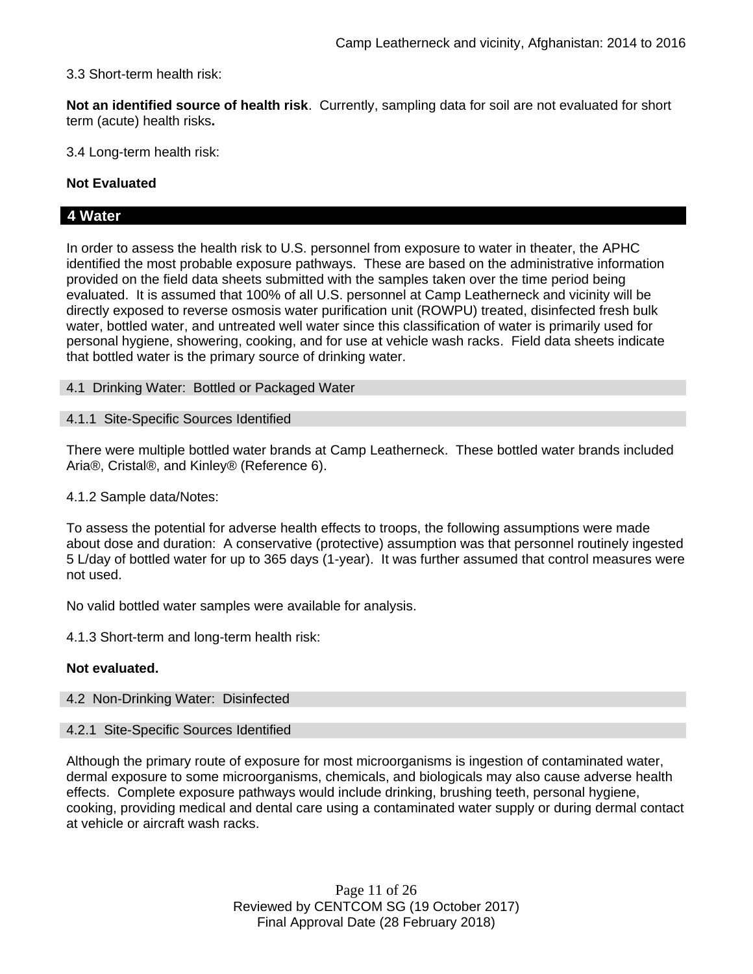3.3 Short-term health risk:

**Not an identified source of health risk**. Currently, sampling data for soil are not evaluated for short term (acute) health risks**.**

3.4 Long-term health risk:

### **Not Evaluated**

# **4 Water**

In order to assess the health risk to U.S. personnel from exposure to water in theater, the APHC identified the most probable exposure pathways. These are based on the administrative information provided on the field data sheets submitted with the samples taken over the time period being evaluated. It is assumed that 100% of all U.S. personnel at Camp Leatherneck and vicinity will be directly exposed to reverse osmosis water purification unit (ROWPU) treated, disinfected fresh bulk water, bottled water, and untreated well water since this classification of water is primarily used for personal hygiene, showering, cooking, and for use at vehicle wash racks. Field data sheets indicate that bottled water is the primary source of drinking water.

4.1 Drinking Water: Bottled or Packaged Water

### 4.1.1 Site-Specific Sources Identified

There were multiple bottled water brands at Camp Leatherneck. These bottled water brands included Aria®, Cristal®, and Kinley® (Reference 6).

### 4.1.2 Sample data/Notes:

To assess the potential for adverse health effects to troops, the following assumptions were made about dose and duration: A conservative (protective) assumption was that personnel routinely ingested 5 L/day of bottled water for up to 365 days (1-year). It was further assumed that control measures were not used.

No valid bottled water samples were available for analysis.

4.1.3 Short-term and long-term health risk:

### **Not evaluated.**

#### 4.2 Non-Drinking Water: Disinfected

#### 4.2.1 Site-Specific Sources Identified

Although the primary route of exposure for most microorganisms is ingestion of contaminated water, dermal exposure to some microorganisms, chemicals, and biologicals may also cause adverse health effects. Complete exposure pathways would include drinking, brushing teeth, personal hygiene, cooking, providing medical and dental care using a contaminated water supply or during dermal contact at vehicle or aircraft wash racks.

> Page 11 of 26 Reviewed by CENTCOM SG (19 October 2017) Final Approval Date (28 February 2018)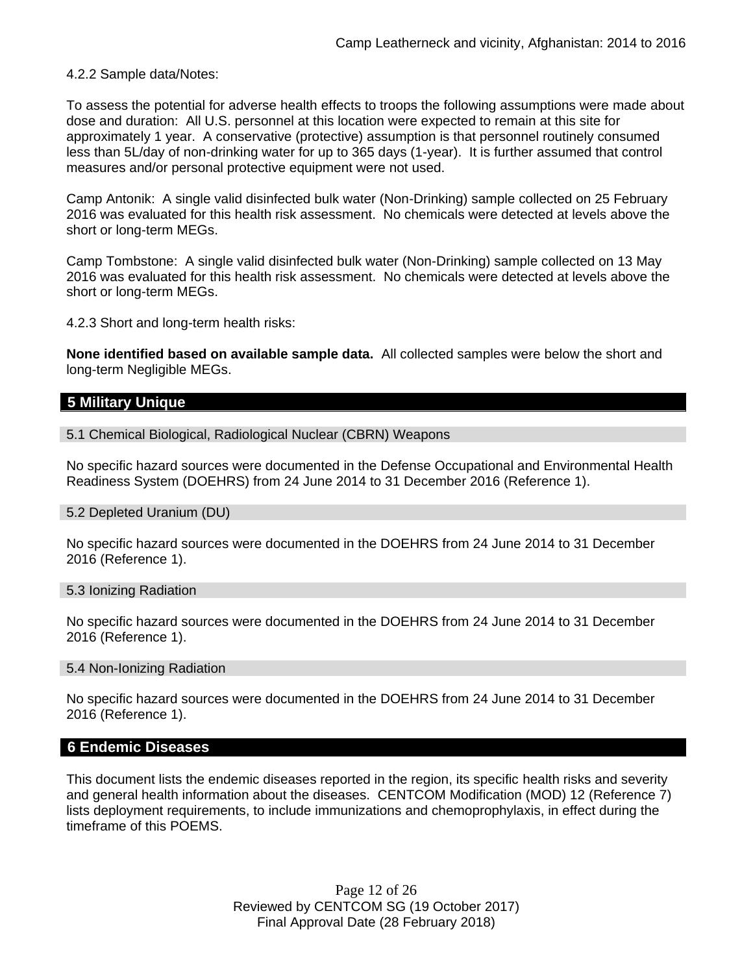4.2.2 Sample data/Notes:

To assess the potential for adverse health effects to troops the following assumptions were made about dose and duration: All U.S. personnel at this location were expected to remain at this site for approximately 1 year. A conservative (protective) assumption is that personnel routinely consumed less than 5L/day of non-drinking water for up to 365 days (1-year). It is further assumed that control measures and/or personal protective equipment were not used.

Camp Antonik: A single valid disinfected bulk water (Non-Drinking) sample collected on 25 February 2016 was evaluated for this health risk assessment. No chemicals were detected at levels above the short or long-term MEGs.

Camp Tombstone: A single valid disinfected bulk water (Non-Drinking) sample collected on 13 May 2016 was evaluated for this health risk assessment. No chemicals were detected at levels above the short or long-term MEGs.

4.2.3 Short and long-term health risks:

**None identified based on available sample data.** All collected samples were below the short and long-term Negligible MEGs.

### **5 Military Unique**

5.1 Chemical Biological, Radiological Nuclear (CBRN) Weapons

No specific hazard sources were documented in the Defense Occupational and Environmental Health Readiness System (DOEHRS) from 24 June 2014 to 31 December 2016 (Reference 1).

#### 5.2 Depleted Uranium (DU)

No specific hazard sources were documented in the DOEHRS from 24 June 2014 to 31 December 2016 (Reference 1).

#### 5.3 Ionizing Radiation

No specific hazard sources were documented in the DOEHRS from 24 June 2014 to 31 December 2016 (Reference 1).

#### 5.4 Non-Ionizing Radiation

No specific hazard sources were documented in the DOEHRS from 24 June 2014 to 31 December 2016 (Reference 1).

### **6 Endemic Diseases**

This document lists the endemic diseases reported in the region, its specific health risks and severity and general health information about the diseases. CENTCOM Modification (MOD) 12 (Reference 7) lists deployment requirements, to include immunizations and chemoprophylaxis, in effect during the timeframe of this POEMS.

> Page 12 of 26 Reviewed by CENTCOM SG (19 October 2017) Final Approval Date (28 February 2018)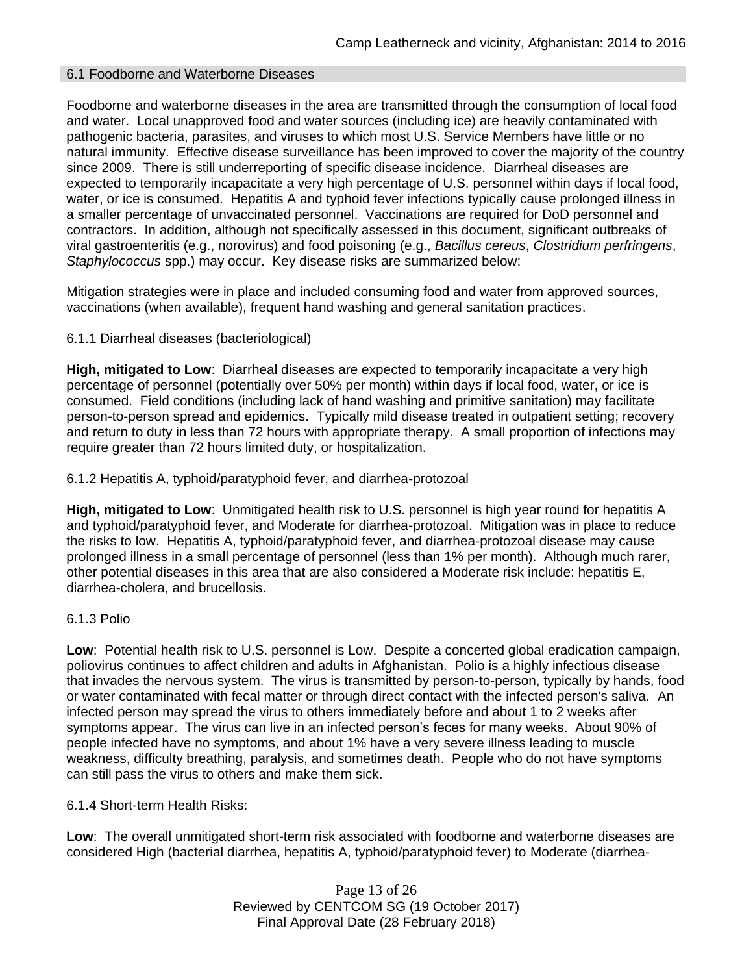### 6.1 Foodborne and Waterborne Diseases

Foodborne and waterborne diseases in the area are transmitted through the consumption of local food and water. Local unapproved food and water sources (including ice) are heavily contaminated with pathogenic bacteria, parasites, and viruses to which most U.S. Service Members have little or no natural immunity. Effective disease surveillance has been improved to cover the majority of the country since 2009. There is still underreporting of specific disease incidence. Diarrheal diseases are expected to temporarily incapacitate a very high percentage of U.S. personnel within days if local food, water, or ice is consumed. Hepatitis A and typhoid fever infections typically cause prolonged illness in a smaller percentage of unvaccinated personnel. Vaccinations are required for DoD personnel and contractors. In addition, although not specifically assessed in this document, significant outbreaks of viral gastroenteritis (e.g., norovirus) and food poisoning (e.g., *Bacillus cereus*, *Clostridium perfringens*, *Staphylococcus* spp.) may occur. Key disease risks are summarized below:

Mitigation strategies were in place and included consuming food and water from approved sources, vaccinations (when available), frequent hand washing and general sanitation practices.

### 6.1.1 Diarrheal diseases (bacteriological)

**High, mitigated to Low**: Diarrheal diseases are expected to temporarily incapacitate a very high percentage of personnel (potentially over 50% per month) within days if local food, water, or ice is consumed. Field conditions (including lack of hand washing and primitive sanitation) may facilitate person-to-person spread and epidemics. Typically mild disease treated in outpatient setting; recovery and return to duty in less than 72 hours with appropriate therapy. A small proportion of infections may require greater than 72 hours limited duty, or hospitalization.

6.1.2 Hepatitis A, typhoid/paratyphoid fever, and diarrhea-protozoal

**High, mitigated to Low**: Unmitigated health risk to U.S. personnel is high year round for hepatitis A and typhoid/paratyphoid fever, and Moderate for diarrhea-protozoal. Mitigation was in place to reduce the risks to low. Hepatitis A, typhoid/paratyphoid fever, and diarrhea-protozoal disease may cause prolonged illness in a small percentage of personnel (less than 1% per month). Although much rarer, other potential diseases in this area that are also considered a Moderate risk include: hepatitis E, diarrhea-cholera, and brucellosis.

### 6.1.3 Polio

**Low**: Potential health risk to U.S. personnel is Low. Despite a concerted global eradication campaign, poliovirus continues to affect children and adults in Afghanistan. Polio is a highly infectious disease that invades the nervous system. The virus is transmitted by person-to-person, typically by hands, food or water contaminated with fecal matter or through direct contact with the infected person's saliva. An infected person may spread the virus to others immediately before and about 1 to 2 weeks after symptoms appear. The virus can live in an infected person's feces for many weeks. About 90% of people infected have no symptoms, and about 1% have a very severe illness leading to muscle weakness, difficulty breathing, paralysis, and sometimes death. People who do not have symptoms can still pass the virus to others and make them sick.

6.1.4 Short-term Health Risks:

**Low**: The overall unmitigated short-term risk associated with foodborne and waterborne diseases are considered High (bacterial diarrhea, hepatitis A, typhoid/paratyphoid fever) to Moderate (diarrhea-

> Page 13 of 26 Reviewed by CENTCOM SG (19 October 2017) Final Approval Date (28 February 2018)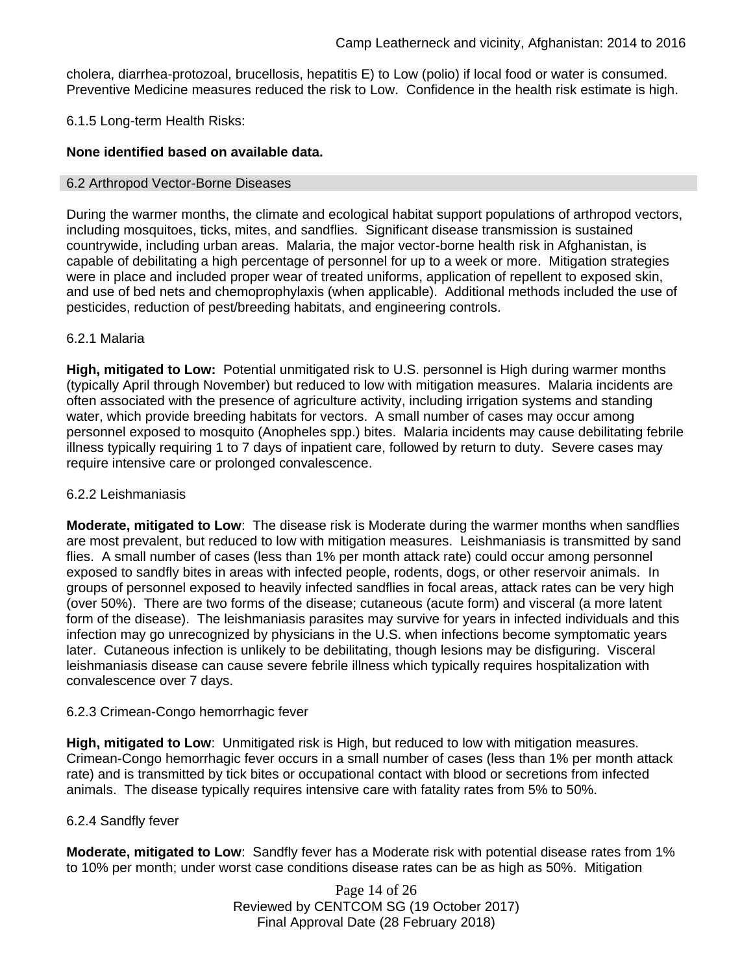cholera, diarrhea-protozoal, brucellosis, hepatitis E) to Low (polio) if local food or water is consumed. Preventive Medicine measures reduced the risk to Low. Confidence in the health risk estimate is high.

### 6.1.5 Long-term Health Risks:

### **None identified based on available data.**

### 6.2 Arthropod Vector-Borne Diseases

During the warmer months, the climate and ecological habitat support populations of arthropod vectors, including mosquitoes, ticks, mites, and sandflies. Significant disease transmission is sustained countrywide, including urban areas. Malaria, the major vector-borne health risk in Afghanistan, is capable of debilitating a high percentage of personnel for up to a week or more. Mitigation strategies were in place and included proper wear of treated uniforms, application of repellent to exposed skin, and use of bed nets and chemoprophylaxis (when applicable). Additional methods included the use of pesticides, reduction of pest/breeding habitats, and engineering controls.

### 6.2.1 Malaria

**High, mitigated to Low:** Potential unmitigated risk to U.S. personnel is High during warmer months (typically April through November) but reduced to low with mitigation measures. Malaria incidents are often associated with the presence of agriculture activity, including irrigation systems and standing water, which provide breeding habitats for vectors. A small number of cases may occur among personnel exposed to mosquito (Anopheles spp.) bites. Malaria incidents may cause debilitating febrile illness typically requiring 1 to 7 days of inpatient care, followed by return to duty. Severe cases may require intensive care or prolonged convalescence.

### 6.2.2 Leishmaniasis

**Moderate, mitigated to Low**: The disease risk is Moderate during the warmer months when sandflies are most prevalent, but reduced to low with mitigation measures. Leishmaniasis is transmitted by sand flies. A small number of cases (less than 1% per month attack rate) could occur among personnel exposed to sandfly bites in areas with infected people, rodents, dogs, or other reservoir animals. In groups of personnel exposed to heavily infected sandflies in focal areas, attack rates can be very high (over 50%). There are two forms of the disease; cutaneous (acute form) and visceral (a more latent form of the disease). The leishmaniasis parasites may survive for years in infected individuals and this infection may go unrecognized by physicians in the U.S. when infections become symptomatic years later. Cutaneous infection is unlikely to be debilitating, though lesions may be disfiguring. Visceral leishmaniasis disease can cause severe febrile illness which typically requires hospitalization with convalescence over 7 days.

### 6.2.3 Crimean-Congo hemorrhagic fever

**High, mitigated to Low**: Unmitigated risk is High, but reduced to low with mitigation measures. Crimean-Congo hemorrhagic fever occurs in a small number of cases (less than 1% per month attack rate) and is transmitted by tick bites or occupational contact with blood or secretions from infected animals. The disease typically requires intensive care with fatality rates from 5% to 50%.

### 6.2.4 Sandfly fever

**Moderate, mitigated to Low**: Sandfly fever has a Moderate risk with potential disease rates from 1% to 10% per month; under worst case conditions disease rates can be as high as 50%. Mitigation

> Page 14 of 26 Reviewed by CENTCOM SG (19 October 2017) Final Approval Date (28 February 2018)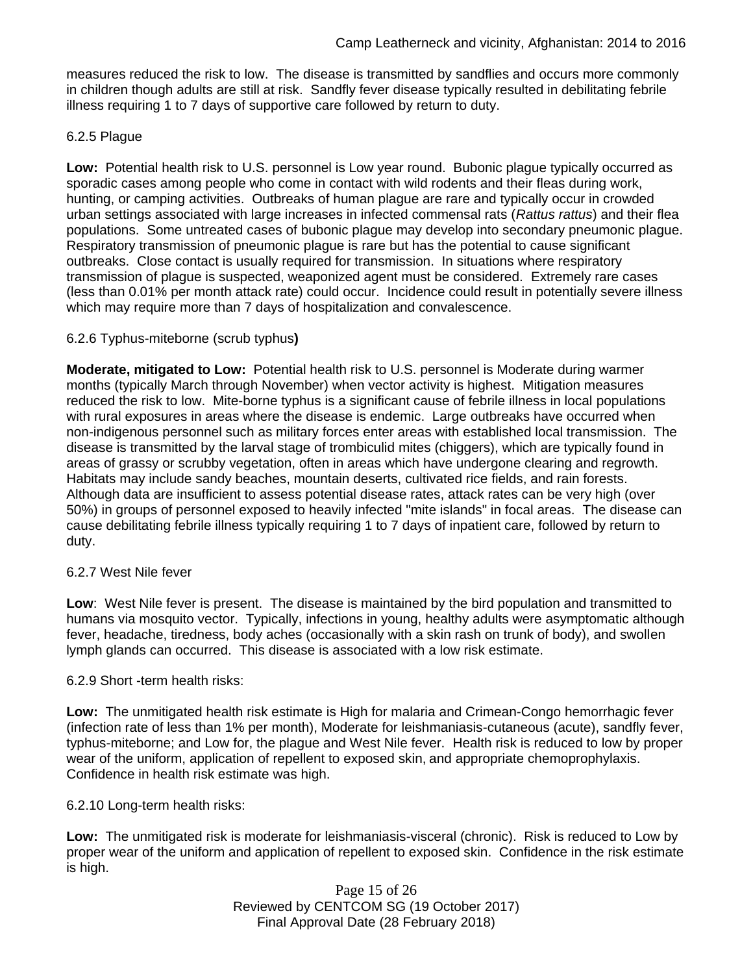measures reduced the risk to low. The disease is transmitted by sandflies and occurs more commonly in children though adults are still at risk. Sandfly fever disease typically resulted in debilitating febrile illness requiring 1 to 7 days of supportive care followed by return to duty.

# 6.2.5 Plague

**Low:** Potential health risk to U.S. personnel is Low year round. Bubonic plague typically occurred as sporadic cases among people who come in contact with wild rodents and their fleas during work, hunting, or camping activities. Outbreaks of human plague are rare and typically occur in crowded urban settings associated with large increases in infected commensal rats (*Rattus rattus*) and their flea populations. Some untreated cases of bubonic plague may develop into secondary pneumonic plague. Respiratory transmission of pneumonic plague is rare but has the potential to cause significant outbreaks. Close contact is usually required for transmission. In situations where respiratory transmission of plague is suspected, weaponized agent must be considered. Extremely rare cases (less than 0.01% per month attack rate) could occur. Incidence could result in potentially severe illness which may require more than 7 days of hospitalization and convalescence.

### 6.2.6 Typhus-miteborne (scrub typhus**)**

**Moderate, mitigated to Low:** Potential health risk to U.S. personnel is Moderate during warmer months (typically March through November) when vector activity is highest. Mitigation measures reduced the risk to low. Mite-borne typhus is a significant cause of febrile illness in local populations with rural exposures in areas where the disease is endemic. Large outbreaks have occurred when non-indigenous personnel such as military forces enter areas with established local transmission. The disease is transmitted by the larval stage of trombiculid mites (chiggers), which are typically found in areas of grassy or scrubby vegetation, often in areas which have undergone clearing and regrowth. Habitats may include sandy beaches, mountain deserts, cultivated rice fields, and rain forests. Although data are insufficient to assess potential disease rates, attack rates can be very high (over 50%) in groups of personnel exposed to heavily infected "mite islands" in focal areas. The disease can cause debilitating febrile illness typically requiring 1 to 7 days of inpatient care, followed by return to duty.

### 6.2.7 West Nile fever

**Low**: West Nile fever is present. The disease is maintained by the bird population and transmitted to humans via mosquito vector. Typically, infections in young, healthy adults were asymptomatic although fever, headache, tiredness, body aches (occasionally with a skin rash on trunk of body), and swollen lymph glands can occurred. This disease is associated with a low risk estimate.

### 6.2.9 Short -term health risks:

**Low:** The unmitigated health risk estimate is High for malaria and Crimean-Congo hemorrhagic fever (infection rate of less than 1% per month), Moderate for leishmaniasis-cutaneous (acute), sandfly fever, typhus-miteborne; and Low for, the plague and West Nile fever. Health risk is reduced to low by proper wear of the uniform, application of repellent to exposed skin, and appropriate chemoprophylaxis. Confidence in health risk estimate was high.

### 6.2.10 Long-term health risks:

**Low:** The unmitigated risk is moderate for leishmaniasis-visceral (chronic). Risk is reduced to Low by proper wear of the uniform and application of repellent to exposed skin. Confidence in the risk estimate is high.

> Page 15 of 26 Reviewed by CENTCOM SG (19 October 2017) Final Approval Date (28 February 2018)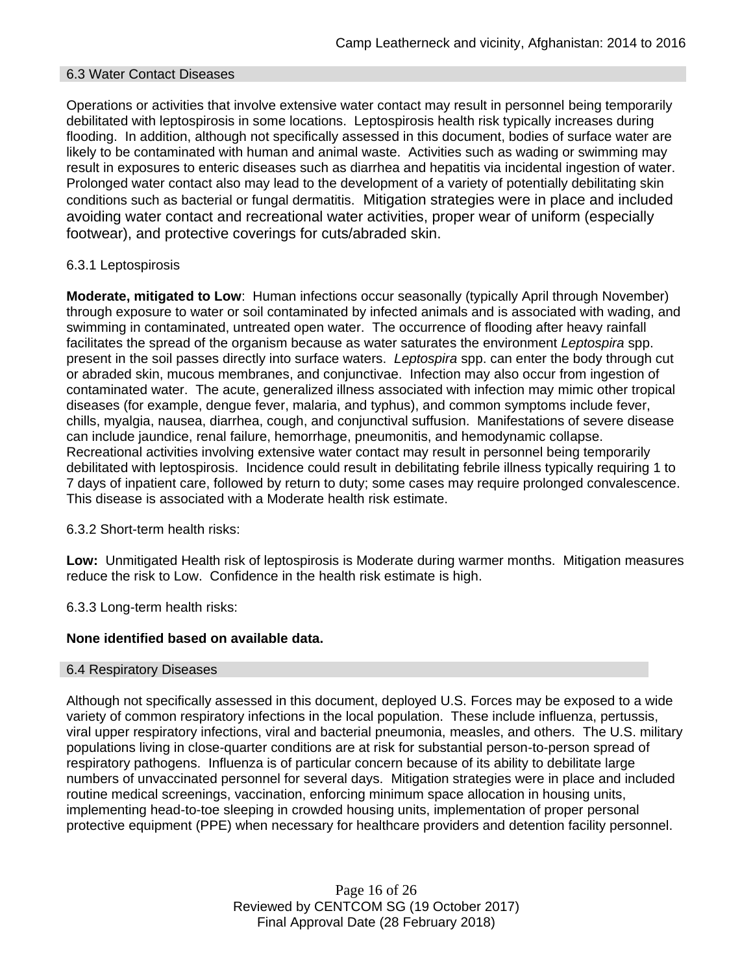### 6.3 Water Contact Diseases

Operations or activities that involve extensive water contact may result in personnel being temporarily debilitated with leptospirosis in some locations. Leptospirosis health risk typically increases during flooding. In addition, although not specifically assessed in this document, bodies of surface water are likely to be contaminated with human and animal waste. Activities such as wading or swimming may result in exposures to enteric diseases such as diarrhea and hepatitis via incidental ingestion of water. Prolonged water contact also may lead to the development of a variety of potentially debilitating skin conditions such as bacterial or fungal dermatitis. Mitigation strategies were in place and included avoiding water contact and recreational water activities, proper wear of uniform (especially footwear), and protective coverings for cuts/abraded skin.

### 6.3.1 Leptospirosis

**Moderate, mitigated to Low**: Human infections occur seasonally (typically April through November) through exposure to water or soil contaminated by infected animals and is associated with wading, and swimming in contaminated, untreated open water. The occurrence of flooding after heavy rainfall facilitates the spread of the organism because as water saturates the environment *Leptospira* spp. present in the soil passes directly into surface waters. *Leptospira* spp. can enter the body through cut or abraded skin, mucous membranes, and conjunctivae. Infection may also occur from ingestion of contaminated water. The acute, generalized illness associated with infection may mimic other tropical diseases (for example, dengue fever, malaria, and typhus), and common symptoms include fever, chills, myalgia, nausea, diarrhea, cough, and conjunctival suffusion. Manifestations of severe disease can include jaundice, renal failure, hemorrhage, pneumonitis, and hemodynamic collapse. Recreational activities involving extensive water contact may result in personnel being temporarily debilitated with leptospirosis. Incidence could result in debilitating febrile illness typically requiring 1 to 7 days of inpatient care, followed by return to duty; some cases may require prolonged convalescence. This disease is associated with a Moderate health risk estimate.

6.3.2 Short-term health risks:

**Low:** Unmitigated Health risk of leptospirosis is Moderate during warmer months. Mitigation measures reduce the risk to Low. Confidence in the health risk estimate is high.

6.3.3 Long-term health risks:

# **None identified based on available data.**

### 6.4 Respiratory Diseases

Although not specifically assessed in this document, deployed U.S. Forces may be exposed to a wide variety of common respiratory infections in the local population. These include influenza, pertussis, viral upper respiratory infections, viral and bacterial pneumonia, measles, and others. The U.S. military populations living in close-quarter conditions are at risk for substantial person-to-person spread of respiratory pathogens. Influenza is of particular concern because of its ability to debilitate large numbers of unvaccinated personnel for several days. Mitigation strategies were in place and included routine medical screenings, vaccination, enforcing minimum space allocation in housing units, implementing head-to-toe sleeping in crowded housing units, implementation of proper personal protective equipment (PPE) when necessary for healthcare providers and detention facility personnel.

> Page 16 of 26 Reviewed by CENTCOM SG (19 October 2017) Final Approval Date (28 February 2018)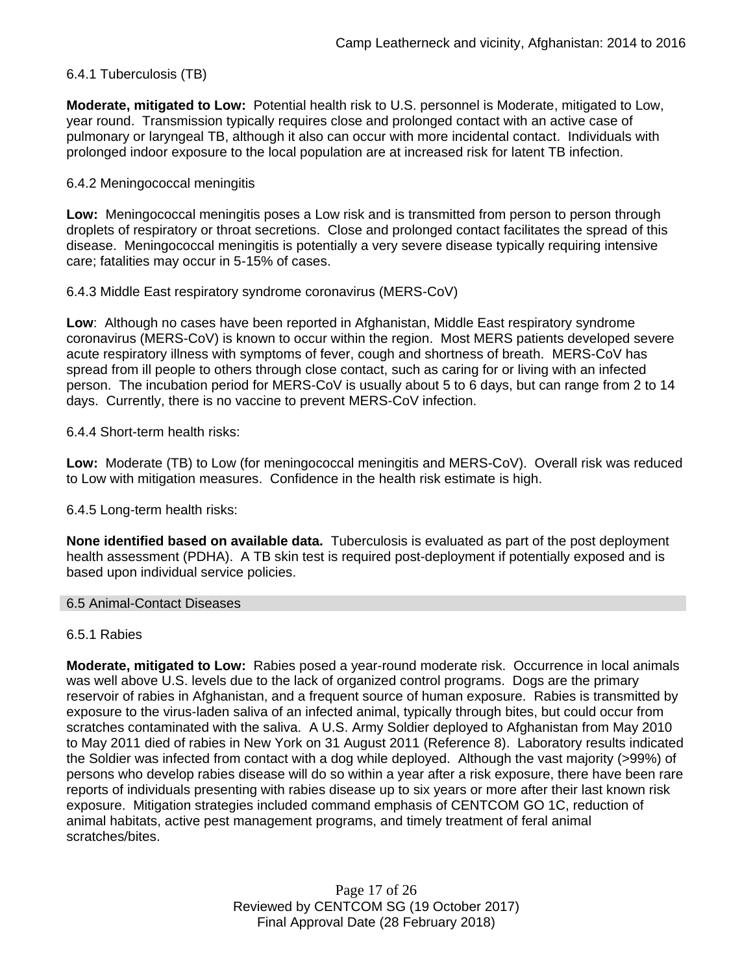# 6.4.1 Tuberculosis (TB)

**Moderate, mitigated to Low:** Potential health risk to U.S. personnel is Moderate, mitigated to Low, year round. Transmission typically requires close and prolonged contact with an active case of pulmonary or laryngeal TB, although it also can occur with more incidental contact. Individuals with prolonged indoor exposure to the local population are at increased risk for latent TB infection.

### 6.4.2 Meningococcal meningitis

**Low:** Meningococcal meningitis poses a Low risk and is transmitted from person to person through droplets of respiratory or throat secretions. Close and prolonged contact facilitates the spread of this disease. Meningococcal meningitis is potentially a very severe disease typically requiring intensive care; fatalities may occur in 5-15% of cases.

6.4.3 Middle East respiratory syndrome coronavirus (MERS-CoV)

**Low**: Although no cases have been reported in Afghanistan, Middle East respiratory syndrome coronavirus (MERS-CoV) is known to occur within the region. Most MERS patients developed severe acute respiratory illness with symptoms of fever, cough and shortness of breath. MERS-CoV has spread from ill people to others through close contact, such as caring for or living with an infected person. The incubation period for MERS-CoV is usually about 5 to 6 days, but can range from 2 to 14 days. Currently, there is no vaccine to prevent MERS-CoV infection.

6.4.4 Short-term health risks:

**Low:** Moderate (TB) to Low (for meningococcal meningitis and MERS-CoV). Overall risk was reduced to Low with mitigation measures. Confidence in the health risk estimate is high.

6.4.5 Long-term health risks:

**None identified based on available data.** Tuberculosis is evaluated as part of the post deployment health assessment (PDHA). A TB skin test is required post-deployment if potentially exposed and is based upon individual service policies.

### 6.5 Animal-Contact Diseases

### 6.5.1 Rabies

**Moderate, mitigated to Low:** Rabies posed a year-round moderate risk. Occurrence in local animals was well above U.S. levels due to the lack of organized control programs. Dogs are the primary reservoir of rabies in Afghanistan, and a frequent source of human exposure. Rabies is transmitted by exposure to the virus-laden saliva of an infected animal, typically through bites, but could occur from scratches contaminated with the saliva. A U.S. Army Soldier deployed to Afghanistan from May 2010 to May 2011 died of rabies in New York on 31 August 2011 (Reference 8). Laboratory results indicated the Soldier was infected from contact with a dog while deployed. Although the vast majority (>99%) of persons who develop rabies disease will do so within a year after a risk exposure, there have been rare reports of individuals presenting with rabies disease up to six years or more after their last known risk exposure. Mitigation strategies included command emphasis of CENTCOM GO 1C, reduction of animal habitats, active pest management programs, and timely treatment of feral animal scratches/bites.

> Page 17 of 26 Reviewed by CENTCOM SG (19 October 2017) Final Approval Date (28 February 2018)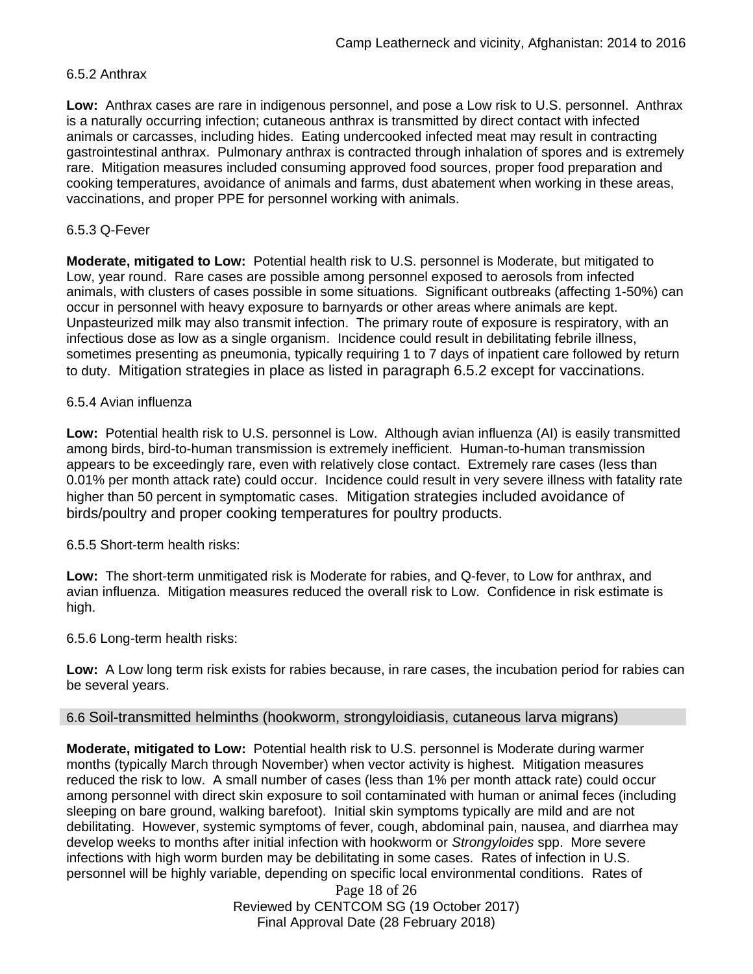### 6.5.2 Anthrax

**Low:** Anthrax cases are rare in indigenous personnel, and pose a Low risk to U.S. personnel. Anthrax is a naturally occurring infection; cutaneous anthrax is transmitted by direct contact with infected animals or carcasses, including hides. Eating undercooked infected meat may result in contracting gastrointestinal anthrax. Pulmonary anthrax is contracted through inhalation of spores and is extremely rare. Mitigation measures included consuming approved food sources, proper food preparation and cooking temperatures, avoidance of animals and farms, dust abatement when working in these areas, vaccinations, and proper PPE for personnel working with animals.

### 6.5.3 Q-Fever

**Moderate, mitigated to Low:** Potential health risk to U.S. personnel is Moderate, but mitigated to Low, year round. Rare cases are possible among personnel exposed to aerosols from infected animals, with clusters of cases possible in some situations. Significant outbreaks (affecting 1-50%) can occur in personnel with heavy exposure to barnyards or other areas where animals are kept. Unpasteurized milk may also transmit infection. The primary route of exposure is respiratory, with an infectious dose as low as a single organism. Incidence could result in debilitating febrile illness, sometimes presenting as pneumonia, typically requiring 1 to 7 days of inpatient care followed by return to duty. Mitigation strategies in place as listed in paragraph 6.5.2 except for vaccinations.

### 6.5.4 Avian influenza

**Low:** Potential health risk to U.S. personnel is Low. Although avian influenza (AI) is easily transmitted among birds, bird-to-human transmission is extremely inefficient. Human-to-human transmission appears to be exceedingly rare, even with relatively close contact. Extremely rare cases (less than 0.01% per month attack rate) could occur. Incidence could result in very severe illness with fatality rate higher than 50 percent in symptomatic cases. Mitigation strategies included avoidance of birds/poultry and proper cooking temperatures for poultry products.

6.5.5 Short-term health risks:

**Low:** The short-term unmitigated risk is Moderate for rabies, and Q-fever, to Low for anthrax, and avian influenza. Mitigation measures reduced the overall risk to Low. Confidence in risk estimate is high.

### 6.5.6 Long-term health risks:

**Low:** A Low long term risk exists for rabies because, in rare cases, the incubation period for rabies can be several years.

### 6.6 Soil-transmitted helminths (hookworm, strongyloidiasis, cutaneous larva migrans)

**Moderate, mitigated to Low:** Potential health risk to U.S. personnel is Moderate during warmer months (typically March through November) when vector activity is highest. Mitigation measures reduced the risk to low. A small number of cases (less than 1% per month attack rate) could occur among personnel with direct skin exposure to soil contaminated with human or animal feces (including sleeping on bare ground, walking barefoot). Initial skin symptoms typically are mild and are not debilitating. However, systemic symptoms of fever, cough, abdominal pain, nausea, and diarrhea may develop weeks to months after initial infection with hookworm or *Strongyloides* spp. More severe infections with high worm burden may be debilitating in some cases. Rates of infection in U.S. personnel will be highly variable, depending on specific local environmental conditions. Rates of

> Page 18 of 26 Reviewed by CENTCOM SG (19 October 2017) Final Approval Date (28 February 2018)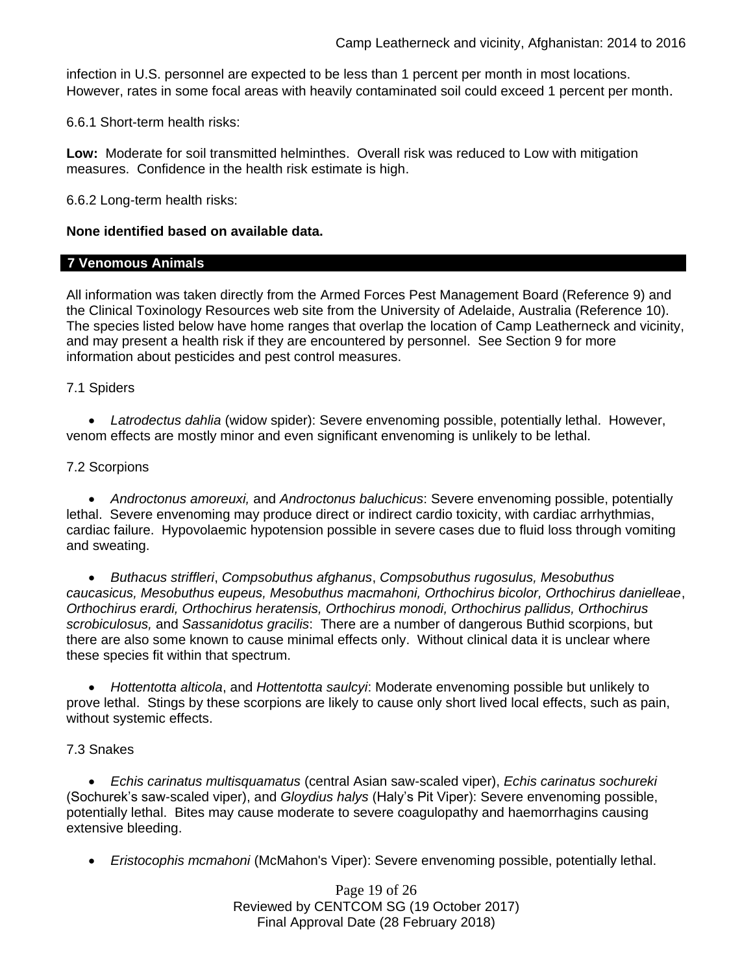infection in U.S. personnel are expected to be less than 1 percent per month in most locations. However, rates in some focal areas with heavily contaminated soil could exceed 1 percent per month.

6.6.1 Short-term health risks:

**Low:** Moderate for soil transmitted helminthes. Overall risk was reduced to Low with mitigation measures. Confidence in the health risk estimate is high.

6.6.2 Long-term health risks:

### **None identified based on available data.**

### **7 Venomous Animals**

All information was taken directly from the Armed Forces Pest Management Board (Reference 9) and the Clinical Toxinology Resources web site from the University of Adelaide, Australia (Reference 10). The species listed below have home ranges that overlap the location of Camp Leatherneck and vicinity, and may present a health risk if they are encountered by personnel. See Section 9 for more information about pesticides and pest control measures.

### 7.1 Spiders

 *Latrodectus dahlia* (widow spider): Severe envenoming possible, potentially lethal. However, venom effects are mostly minor and even significant envenoming is unlikely to be lethal.

### 7.2 Scorpions

 *Androctonus amoreuxi,* and *Androctonus baluchicus*: Severe envenoming possible, potentially lethal. Severe envenoming may produce direct or indirect cardio toxicity, with cardiac arrhythmias, cardiac failure. Hypovolaemic hypotension possible in severe cases due to fluid loss through vomiting and sweating.

 *Buthacus striffleri*, *Compsobuthus afghanus*, *Compsobuthus rugosulus, Mesobuthus caucasicus, Mesobuthus eupeus, Mesobuthus macmahoni, Orthochirus bicolor, Orthochirus danielleae*, *Orthochirus erardi, Orthochirus heratensis, Orthochirus monodi, Orthochirus pallidus, Orthochirus scrobiculosus,* and *Sassanidotus gracilis*: There are a number of dangerous Buthid scorpions, but there are also some known to cause minimal effects only. Without clinical data it is unclear where these species fit within that spectrum.

 *Hottentotta alticola*, and *Hottentotta saulcyi*: Moderate envenoming possible but unlikely to prove lethal. Stings by these scorpions are likely to cause only short lived local effects, such as pain, without systemic effects.

### 7.3 Snakes

 *Echis carinatus multisquamatus* (central Asian saw-scaled viper), *Echis carinatus sochureki* (Sochurek's saw-scaled viper), and *Gloydius halys* (Haly's Pit Viper): Severe envenoming possible, potentially lethal. Bites may cause moderate to severe coagulopathy and haemorrhagins causing extensive bleeding.

*Eristocophis mcmahoni* (McMahon's Viper): Severe envenoming possible, potentially lethal.

Page 19 of 26 Reviewed by CENTCOM SG (19 October 2017) Final Approval Date (28 February 2018)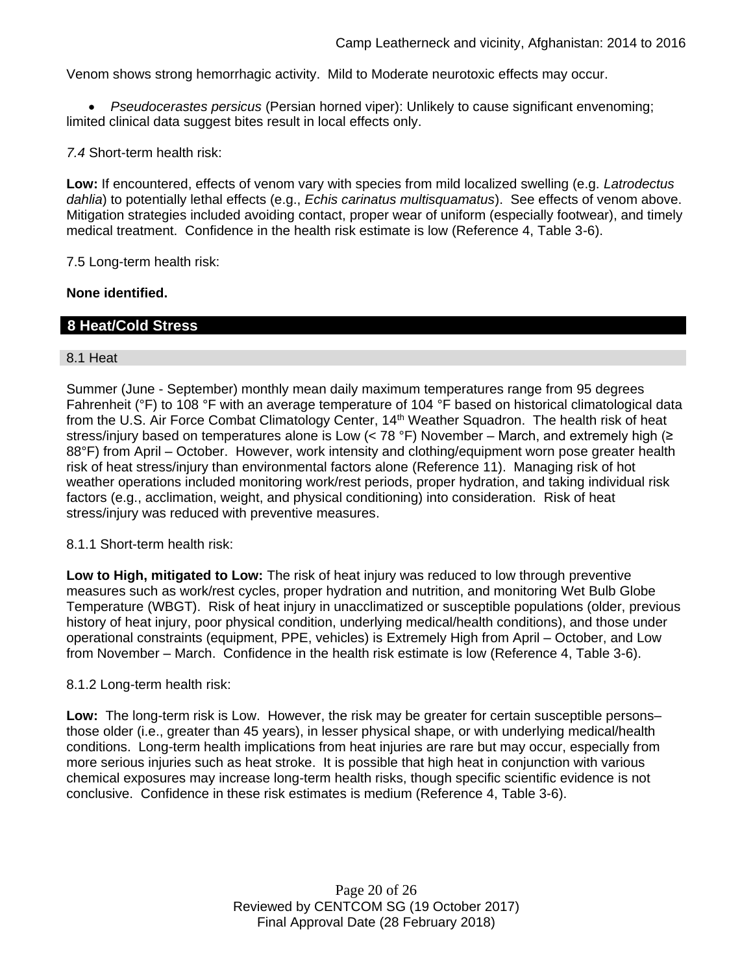Venom shows strong hemorrhagic activity. Mild to Moderate neurotoxic effects may occur.

 *Pseudocerastes persicus* (Persian horned viper): Unlikely to cause significant envenoming; limited clinical data suggest bites result in local effects only.

*7.4* Short-term health risk:

**Low:** If encountered, effects of venom vary with species from mild localized swelling (e.g. *Latrodectus dahlia*) to potentially lethal effects (e.g., *Echis carinatus multisquamatus*). See effects of venom above. Mitigation strategies included avoiding contact, proper wear of uniform (especially footwear), and timely medical treatment. Confidence in the health risk estimate is low (Reference 4, Table 3-6).

7.5 Long-term health risk:

### **None identified.**

# **8 Heat/Cold Stress**

### 8.1 Heat

Summer (June - September) monthly mean daily maximum temperatures range from 95 degrees Fahrenheit (°F) to 108 °F with an average temperature of 104 °F based on historical climatological data from the U.S. Air Force Combat Climatology Center, 14<sup>th</sup> Weather Squadron. The health risk of heat stress/injury based on temperatures alone is Low (< 78 °F) November – March, and extremely high ( $\ge$ 88°F) from April – October. However, work intensity and clothing/equipment worn pose greater health risk of heat stress/injury than environmental factors alone (Reference 11). Managing risk of hot weather operations included monitoring work/rest periods, proper hydration, and taking individual risk factors (e.g., acclimation, weight, and physical conditioning) into consideration. Risk of heat stress/injury was reduced with preventive measures.

8.1.1 Short-term health risk:

**Low to High, mitigated to Low:** The risk of heat injury was reduced to low through preventive measures such as work/rest cycles, proper hydration and nutrition, and monitoring Wet Bulb Globe Temperature (WBGT). Risk of heat injury in unacclimatized or susceptible populations (older, previous history of heat injury, poor physical condition, underlying medical/health conditions), and those under operational constraints (equipment, PPE, vehicles) is Extremely High from April – October, and Low from November – March. Confidence in the health risk estimate is low (Reference 4, Table 3-6).

8.1.2 Long-term health risk:

**Low:** The long-term risk is Low. However, the risk may be greater for certain susceptible persons– those older (i.e., greater than 45 years), in lesser physical shape, or with underlying medical/health conditions. Long-term health implications from heat injuries are rare but may occur, especially from more serious injuries such as heat stroke. It is possible that high heat in conjunction with various chemical exposures may increase long-term health risks, though specific scientific evidence is not conclusive. Confidence in these risk estimates is medium (Reference 4, Table 3-6).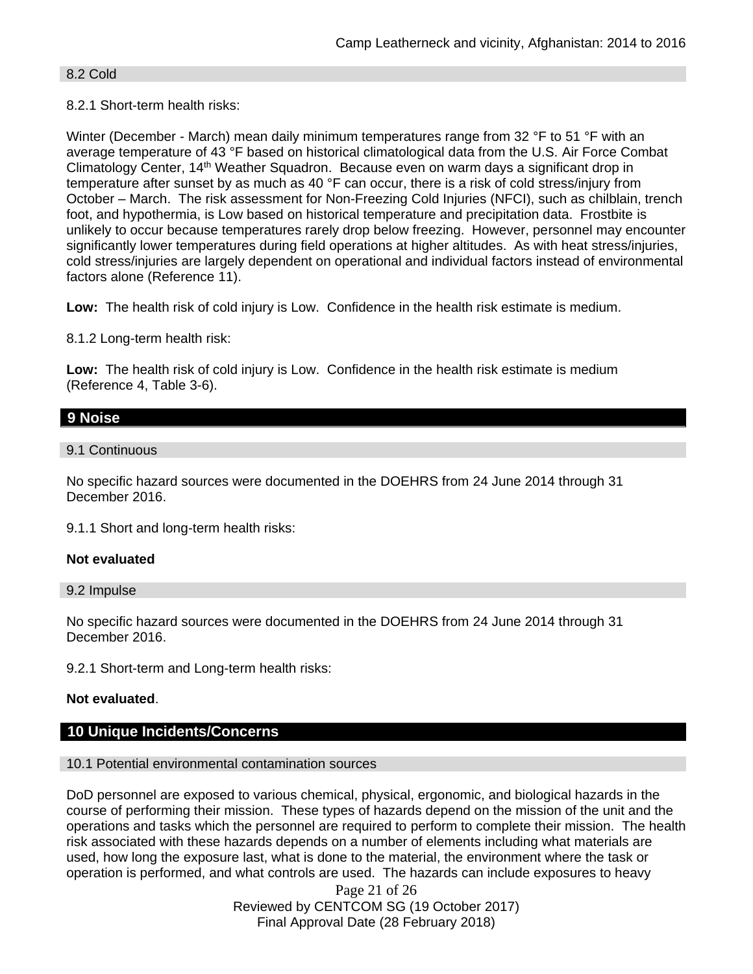### 8.2 Cold

# 8.2.1 Short-term health risks:

Winter (December - March) mean daily minimum temperatures range from 32 °F to 51 °F with an average temperature of 43 °F based on historical climatological data from the U.S. Air Force Combat Climatology Center, 14th Weather Squadron. Because even on warm days a significant drop in temperature after sunset by as much as 40 °F can occur, there is a risk of cold stress/injury from October – March. The risk assessment for Non-Freezing Cold Injuries (NFCI), such as chilblain, trench foot, and hypothermia, is Low based on historical temperature and precipitation data. Frostbite is unlikely to occur because temperatures rarely drop below freezing. However, personnel may encounter significantly lower temperatures during field operations at higher altitudes. As with heat stress/injuries, cold stress/injuries are largely dependent on operational and individual factors instead of environmental factors alone (Reference 11).

**Low:** The health risk of cold injury is Low. Confidence in the health risk estimate is medium.

8.1.2 Long-term health risk:

**Low:** The health risk of cold injury is Low. Confidence in the health risk estimate is medium (Reference 4, Table 3-6).

# **9 Noise**

### 9.1 Continuous

No specific hazard sources were documented in the DOEHRS from 24 June 2014 through 31 December 2016.

9.1.1 Short and long-term health risks:

### **Not evaluated**

#### 9.2 Impulse

No specific hazard sources were documented in the DOEHRS from 24 June 2014 through 31 December 2016.

9.2.1 Short-term and Long-term health risks:

# **Not evaluated**.

### **10 Unique Incidents/Concerns**

### 10.1 Potential environmental contamination sources

DoD personnel are exposed to various chemical, physical, ergonomic, and biological hazards in the course of performing their mission. These types of hazards depend on the mission of the unit and the operations and tasks which the personnel are required to perform to complete their mission. The health risk associated with these hazards depends on a number of elements including what materials are used, how long the exposure last, what is done to the material, the environment where the task or operation is performed, and what controls are used. The hazards can include exposures to heavy

> Page 21 of 26 Reviewed by CENTCOM SG (19 October 2017) Final Approval Date (28 February 2018)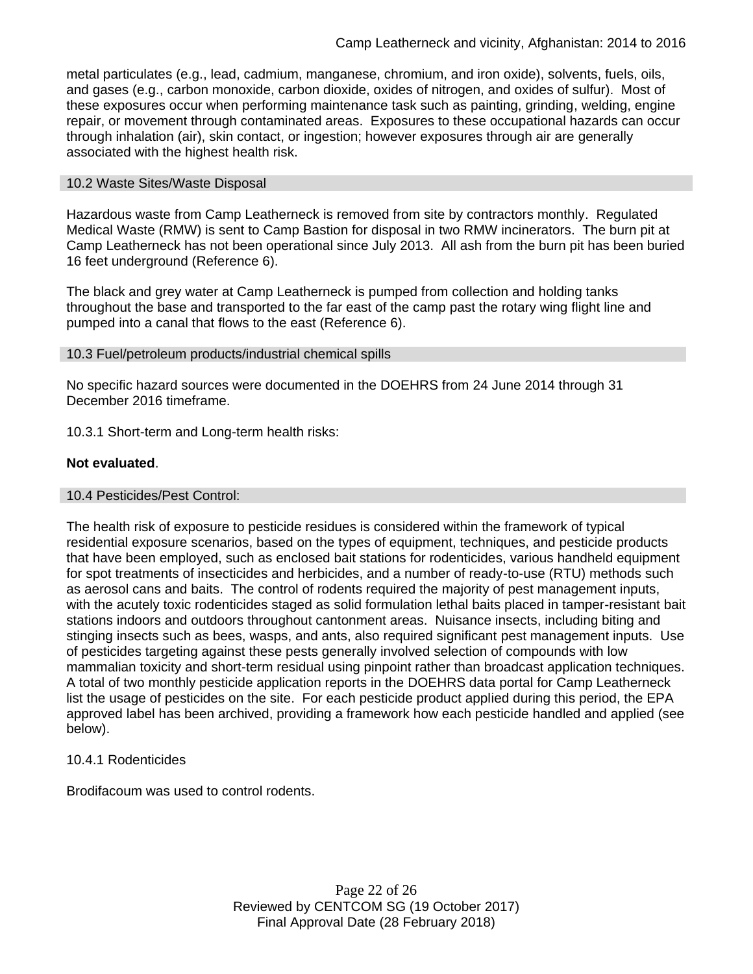metal particulates (e.g., lead, cadmium, manganese, chromium, and iron oxide), solvents, fuels, oils, and gases (e.g., carbon monoxide, carbon dioxide, oxides of nitrogen, and oxides of sulfur). Most of these exposures occur when performing maintenance task such as painting, grinding, welding, engine repair, or movement through contaminated areas. Exposures to these occupational hazards can occur through inhalation (air), skin contact, or ingestion; however exposures through air are generally associated with the highest health risk.

### 10.2 Waste Sites/Waste Disposal

Hazardous waste from Camp Leatherneck is removed from site by contractors monthly. Regulated Medical Waste (RMW) is sent to Camp Bastion for disposal in two RMW incinerators. The burn pit at Camp Leatherneck has not been operational since July 2013. All ash from the burn pit has been buried 16 feet underground (Reference 6).

The black and grey water at Camp Leatherneck is pumped from collection and holding tanks throughout the base and transported to the far east of the camp past the rotary wing flight line and pumped into a canal that flows to the east (Reference 6).

### 10.3 Fuel/petroleum products/industrial chemical spills

No specific hazard sources were documented in the DOEHRS from 24 June 2014 through 31 December 2016 timeframe.

10.3.1 Short-term and Long-term health risks:

### **Not evaluated**.

### 10.4 Pesticides/Pest Control:

The health risk of exposure to pesticide residues is considered within the framework of typical residential exposure scenarios, based on the types of equipment, techniques, and pesticide products that have been employed, such as enclosed bait stations for rodenticides, various handheld equipment for spot treatments of insecticides and herbicides, and a number of ready-to-use (RTU) methods such as aerosol cans and baits. The control of rodents required the majority of pest management inputs, with the acutely toxic rodenticides staged as solid formulation lethal baits placed in tamper-resistant bait stations indoors and outdoors throughout cantonment areas. Nuisance insects, including biting and stinging insects such as bees, wasps, and ants, also required significant pest management inputs. Use of pesticides targeting against these pests generally involved selection of compounds with low mammalian toxicity and short-term residual using pinpoint rather than broadcast application techniques. A total of two monthly pesticide application reports in the DOEHRS data portal for Camp Leatherneck list the usage of pesticides on the site. For each pesticide product applied during this period, the EPA approved label has been archived, providing a framework how each pesticide handled and applied (see below).

# 10.4.1 Rodenticides

Brodifacoum was used to control rodents.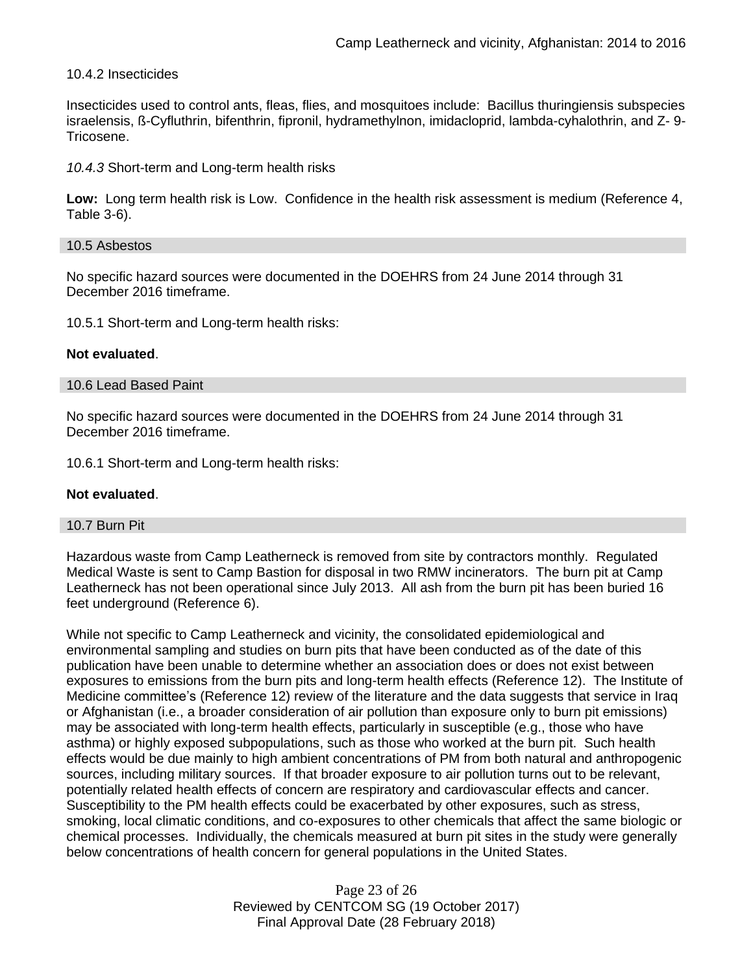### 10.4.2 Insecticides

Insecticides used to control ants, fleas, flies, and mosquitoes include: Bacillus thuringiensis subspecies israelensis, ß-Cyfluthrin, bifenthrin, fipronil, hydramethylnon, imidacloprid, lambda-cyhalothrin, and Z- 9- Tricosene.

*10.4.3* Short-term and Long-term health risks

**Low:** Long term health risk is Low. Confidence in the health risk assessment is medium (Reference 4, Table 3-6).

#### 10.5 Asbestos

No specific hazard sources were documented in the DOEHRS from 24 June 2014 through 31 December 2016 timeframe.

10.5.1 Short-term and Long-term health risks:

### **Not evaluated**.

### 10.6 Lead Based Paint

No specific hazard sources were documented in the DOEHRS from 24 June 2014 through 31 December 2016 timeframe.

10.6.1 Short-term and Long-term health risks:

### **Not evaluated**.

### 10.7 Burn Pit

Hazardous waste from Camp Leatherneck is removed from site by contractors monthly. Regulated Medical Waste is sent to Camp Bastion for disposal in two RMW incinerators. The burn pit at Camp Leatherneck has not been operational since July 2013. All ash from the burn pit has been buried 16 feet underground (Reference 6).

While not specific to Camp Leatherneck and vicinity, the consolidated epidemiological and environmental sampling and studies on burn pits that have been conducted as of the date of this publication have been unable to determine whether an association does or does not exist between exposures to emissions from the burn pits and long-term health effects (Reference 12). The Institute of Medicine committee's (Reference 12) review of the literature and the data suggests that service in Iraq or Afghanistan (i.e., a broader consideration of air pollution than exposure only to burn pit emissions) may be associated with long-term health effects, particularly in susceptible (e.g., those who have asthma) or highly exposed subpopulations, such as those who worked at the burn pit. Such health effects would be due mainly to high ambient concentrations of PM from both natural and anthropogenic sources, including military sources. If that broader exposure to air pollution turns out to be relevant, potentially related health effects of concern are respiratory and cardiovascular effects and cancer. Susceptibility to the PM health effects could be exacerbated by other exposures, such as stress, smoking, local climatic conditions, and co-exposures to other chemicals that affect the same biologic or chemical processes. Individually, the chemicals measured at burn pit sites in the study were generally below concentrations of health concern for general populations in the United States.

> Page 23 of 26 Reviewed by CENTCOM SG (19 October 2017) Final Approval Date (28 February 2018)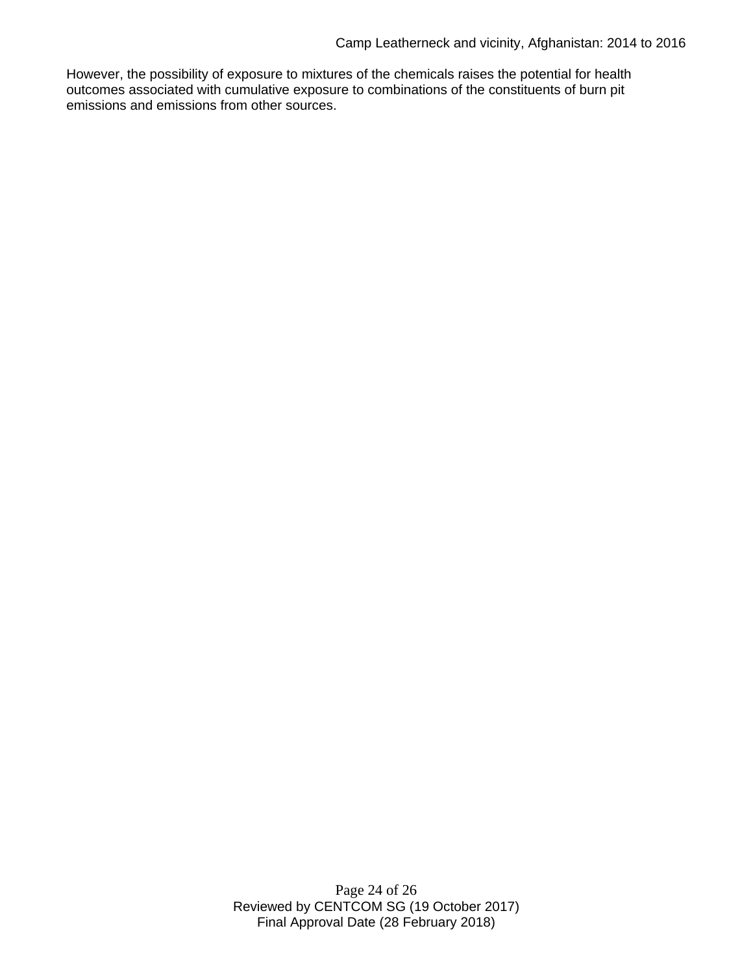However, the possibility of exposure to mixtures of the chemicals raises the potential for health outcomes associated with cumulative exposure to combinations of the constituents of burn pit emissions and emissions from other sources.

> Page 24 of 26 Reviewed by CENTCOM SG (19 October 2017) Final Approval Date (28 February 2018)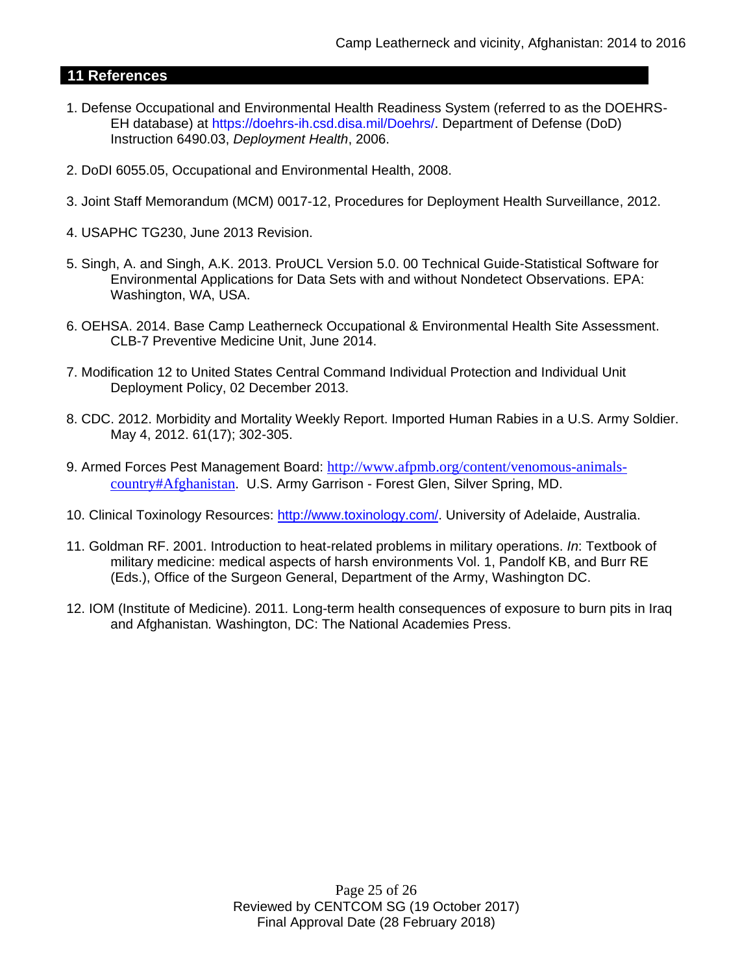# **11 References**

- 1. Defense Occupational and Environmental Health Readiness System (referred to as the DOEHRS-EH database) at https://doehrs-ih.csd.disa.mil/Doehrs/. Department of Defense (DoD) Instruction 6490.03, *Deployment Health*, 2006.
- 2. DoDI 6055.05, Occupational and Environmental Health, 2008.
- 3. Joint Staff Memorandum (MCM) 0017-12, Procedures for Deployment Health Surveillance, 2012.
- 4. USAPHC TG230, June 2013 Revision.
- 5. Singh, A. and Singh, A.K. 2013. ProUCL Version 5.0. 00 Technical Guide-Statistical Software for Environmental Applications for Data Sets with and without Nondetect Observations. EPA: Washington, WA, USA.
- 6. OEHSA. 2014. Base Camp Leatherneck Occupational & Environmental Health Site Assessment. CLB-7 Preventive Medicine Unit, June 2014.
- 7. Modification 12 to United States Central Command Individual Protection and Individual Unit Deployment Policy, 02 December 2013.
- 8. CDC. 2012. Morbidity and Mortality Weekly Report. Imported Human Rabies in a U.S. Army Soldier. May 4, 2012. 61(17); 302-305.
- 9. Armed Forces Pest Management Board: [http://www.afpmb.org/content/venomous-animals](http://www.afpmb.org/content/venomous-animals-country#Afghanistan)[country#Afghanistan](http://www.afpmb.org/content/venomous-animals-country#Afghanistan). U.S. Army Garrison - Forest Glen, Silver Spring, MD.
- 10. Clinical Toxinology Resources: [http://www.toxinology.com/.](http://www.toxinology.com/) University of Adelaide, Australia.
- 11. Goldman RF. 2001. Introduction to heat-related problems in military operations. *In*: Textbook of military medicine: medical aspects of harsh environments Vol. 1, Pandolf KB, and Burr RE (Eds.), Office of the Surgeon General, Department of the Army, Washington DC.
- 12. IOM (Institute of Medicine). 2011*.* Long-term health consequences of exposure to burn pits in Iraq and Afghanistan*.* Washington, DC: The National Academies Press.